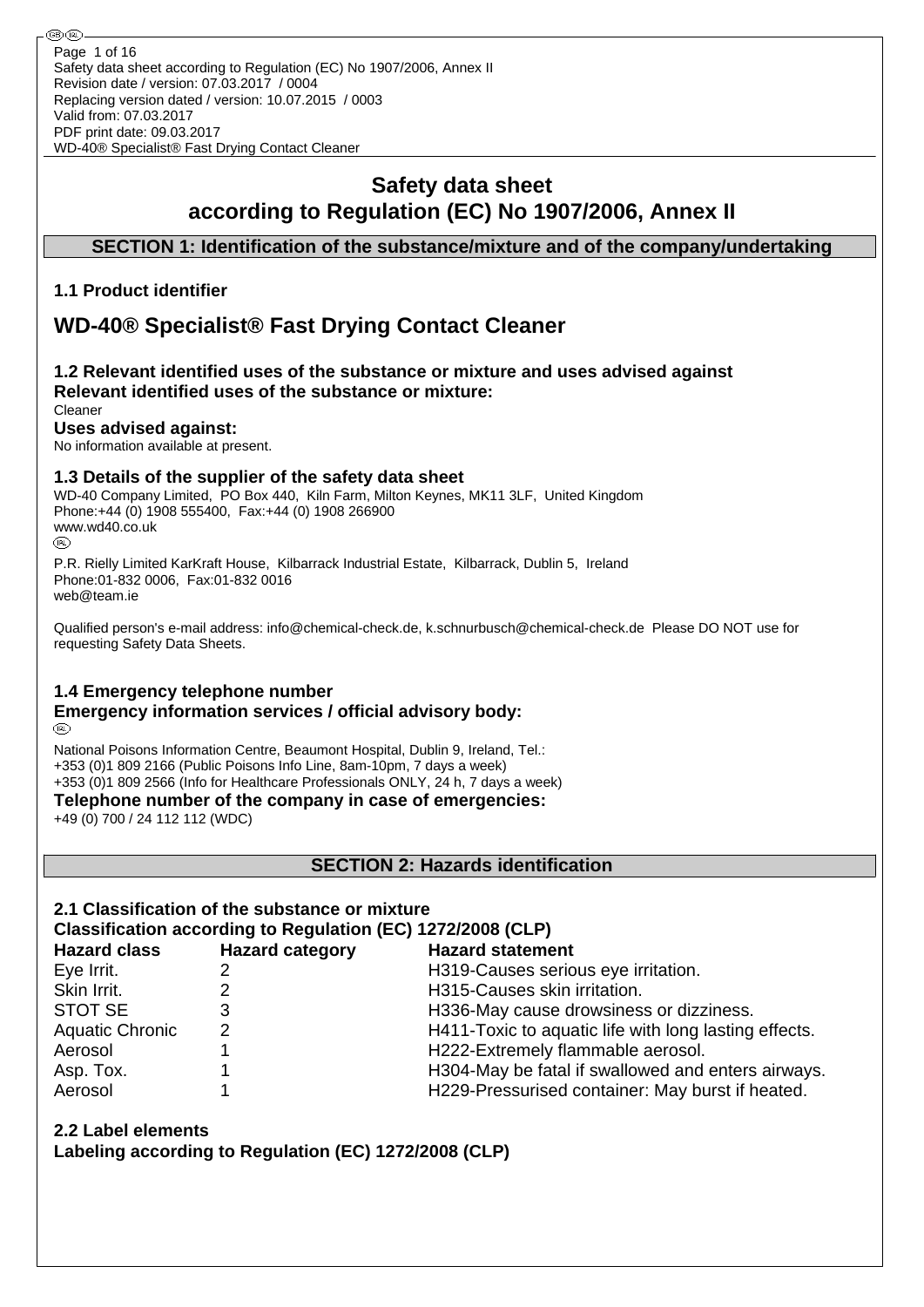# **Safety data sheet according to Regulation (EC) No 1907/2006, Annex II**

## **SECTION 1: Identification of the substance/mixture and of the company/undertaking**

### **1.1 Product identifier**

# **WD-40® Specialist® Fast Drying Contact Cleaner**

#### **1.2 Relevant identified uses of the substance or mixture and uses advised against Relevant identified uses of the substance or mixture:** Cleaner

# **Uses advised against:**

No information available at present.

### **1.3 Details of the supplier of the safety data sheet**

WD-40 Company Limited, PO Box 440, Kiln Farm, Milton Keynes, MK11 3LF, United Kingdom Phone:+44 (0) 1908 555400, Fax:+44 (0) 1908 266900 www.wd40.co.uk (RD)

P.R. Rielly Limited KarKraft House, Kilbarrack Industrial Estate, Kilbarrack, Dublin 5, Ireland Phone:01-832 0006, Fax:01-832 0016 web@team.ie

Qualified person's e-mail address: info@chemical-check.de, k.schnurbusch@chemical-check.de Please DO NOT use for requesting Safety Data Sheets.

### **1.4 Emergency telephone number**

#### **Emergency information services / official advisory body:** (RD)

National Poisons Information Centre, Beaumont Hospital, Dublin 9, Ireland, Tel.: +353 (0)1 809 2166 (Public Poisons Info Line, 8am-10pm, 7 days a week) +353 (0)1 809 2566 (Info for Healthcare Professionals ONLY, 24 h, 7 days a week)

**Telephone number of the company in case of emergencies:**

+49 (0) 700 / 24 112 112 (WDC)

**SECTION 2: Hazards identification**

# **2.1 Classification of the substance or mixture**

# **Classification according to Regulation (EC) 1272/2008 (CLP)**

| <b>Hazard class</b>    | <b>Hazard category</b> | <b>Hazard statement</b>                               |
|------------------------|------------------------|-------------------------------------------------------|
| Eye Irrit.             |                        | H319-Causes serious eye irritation.                   |
| Skin Irrit.            |                        | H315-Causes skin irritation.                          |
| <b>STOT SE</b>         |                        | H336-May cause drowsiness or dizziness.               |
| <b>Aquatic Chronic</b> | 2                      | H411-Toxic to aquatic life with long lasting effects. |
| Aerosol                |                        | H222-Extremely flammable aerosol.                     |
| Asp. Tox.              |                        | H304-May be fatal if swallowed and enters airways.    |
| Aerosol                |                        | H229-Pressurised container: May burst if heated.      |

### **2.2 Label elements**

**Labeling according to Regulation (EC) 1272/2008 (CLP)**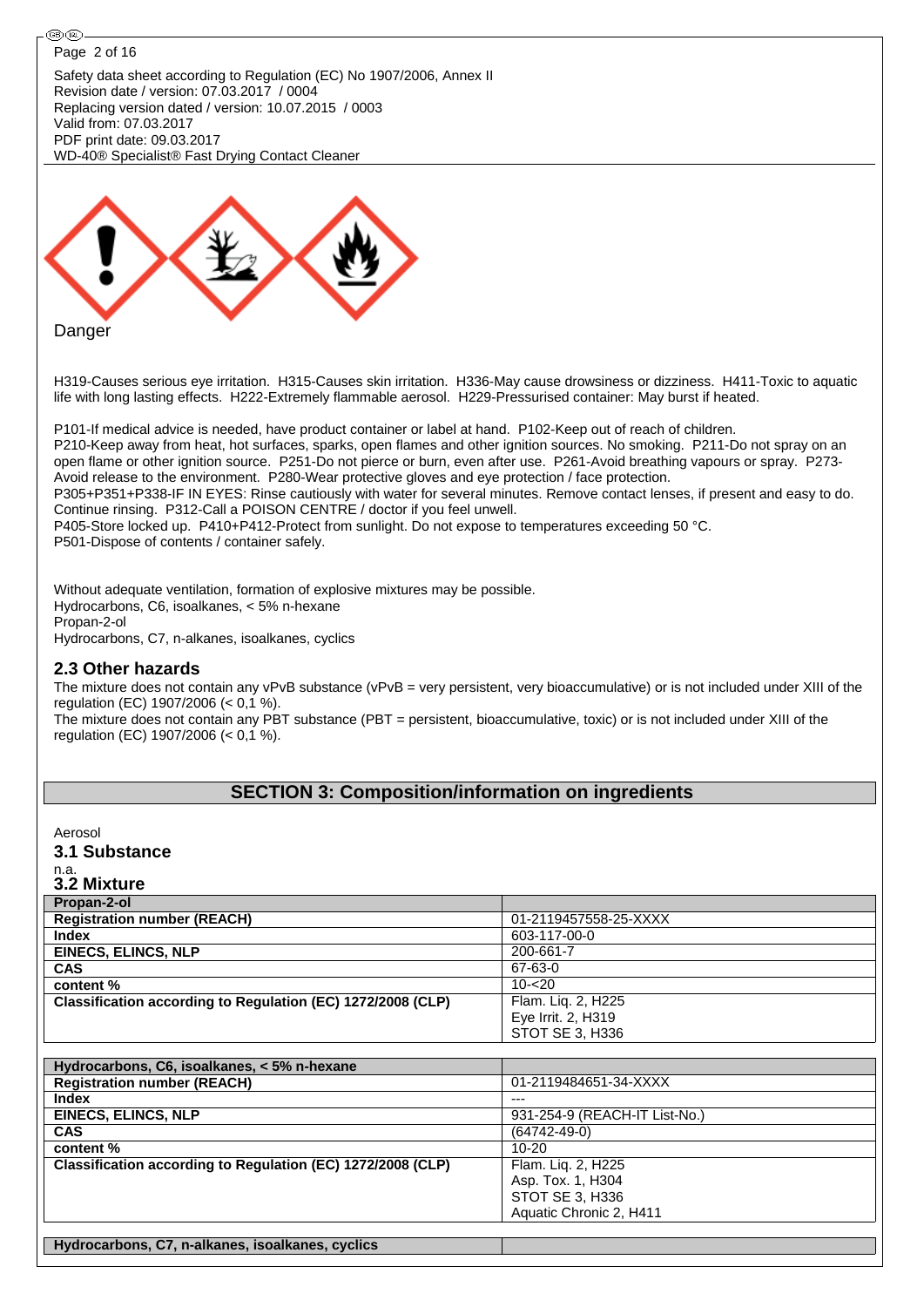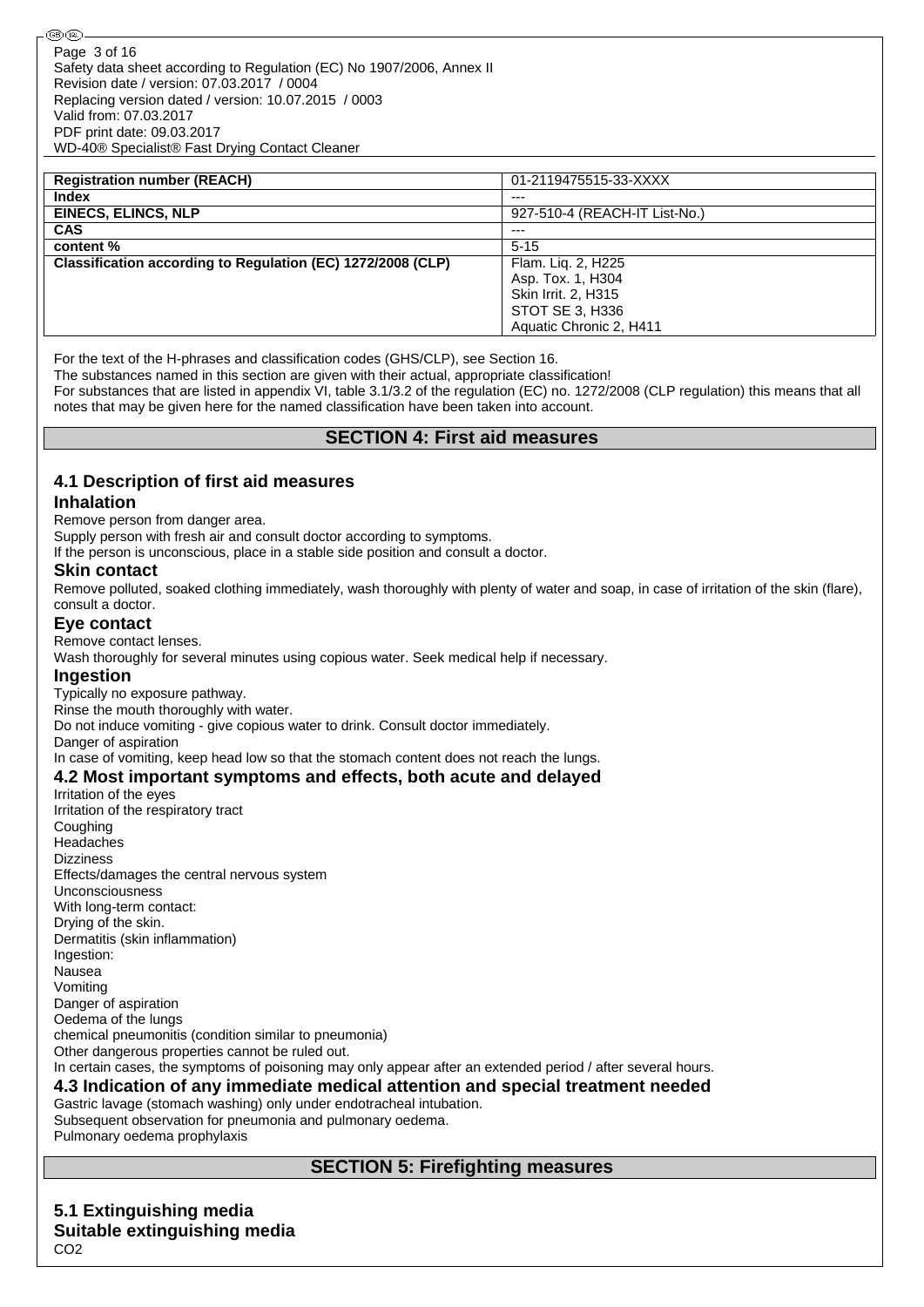| <b>Registration number (REACH)</b>                          | 01-2119475515-33-XXXX         |
|-------------------------------------------------------------|-------------------------------|
| <b>Index</b>                                                | $--$                          |
| <b>EINECS, ELINCS, NLP</b>                                  | 927-510-4 (REACH-IT List-No.) |
| <b>CAS</b>                                                  | $--$                          |
| content %                                                   | $5 - 15$                      |
| Classification according to Regulation (EC) 1272/2008 (CLP) | Flam. Lig. 2, H225            |
|                                                             | Asp. Tox. 1, H304             |
|                                                             | Skin Irrit. 2, H315           |
|                                                             | STOT SE 3, H336               |
|                                                             | Aquatic Chronic 2. H411       |

For the text of the H-phrases and classification codes (GHS/CLP), see Section 16.

The substances named in this section are given with their actual, appropriate classification!

For substances that are listed in appendix VI, table 3.1/3.2 of the regulation (EC) no. 1272/2008 (CLP regulation) this means that all notes that may be given here for the named classification have been taken into account.

### **SECTION 4: First aid measures**

### **4.1 Description of first aid measures**

#### **Inhalation**

Remove person from danger area.

Supply person with fresh air and consult doctor according to symptoms.

If the person is unconscious, place in a stable side position and consult a doctor.

#### **Skin contact**

Remove polluted, soaked clothing immediately, wash thoroughly with plenty of water and soap, in case of irritation of the skin (flare), consult a doctor.

#### **Eye contact**

Remove contact lenses.

Wash thoroughly for several minutes using copious water. Seek medical help if necessary.

#### **Ingestion**

Typically no exposure pathway.

Rinse the mouth thoroughly with water.

Do not induce vomiting - give copious water to drink. Consult doctor immediately.

Danger of aspiration

### In case of vomiting, keep head low so that the stomach content does not reach the lungs.

### **4.2 Most important symptoms and effects, both acute and delayed**

Irritation of the eyes Irritation of the respiratory tract Coughing Headaches Dizziness Effects/damages the central nervous system Unconsciousness With long-term contact: Drying of the skin. Dermatitis (skin inflammation) Ingestion: Nausea Vomiting Danger of aspiration Oedema of the lungs chemical pneumonitis (condition similar to pneumonia) Other dangerous properties cannot be ruled out. In certain cases, the symptoms of poisoning may only appear after an extended period / after several hours. **4.3 Indication of any immediate medical attention and special treatment needed**

# Gastric lavage (stomach washing) only under endotracheal intubation.

Subsequent observation for pneumonia and pulmonary oedema. Pulmonary oedema prophylaxis

## **SECTION 5: Firefighting measures**

**5.1 Extinguishing media Suitable extinguishing media** CO2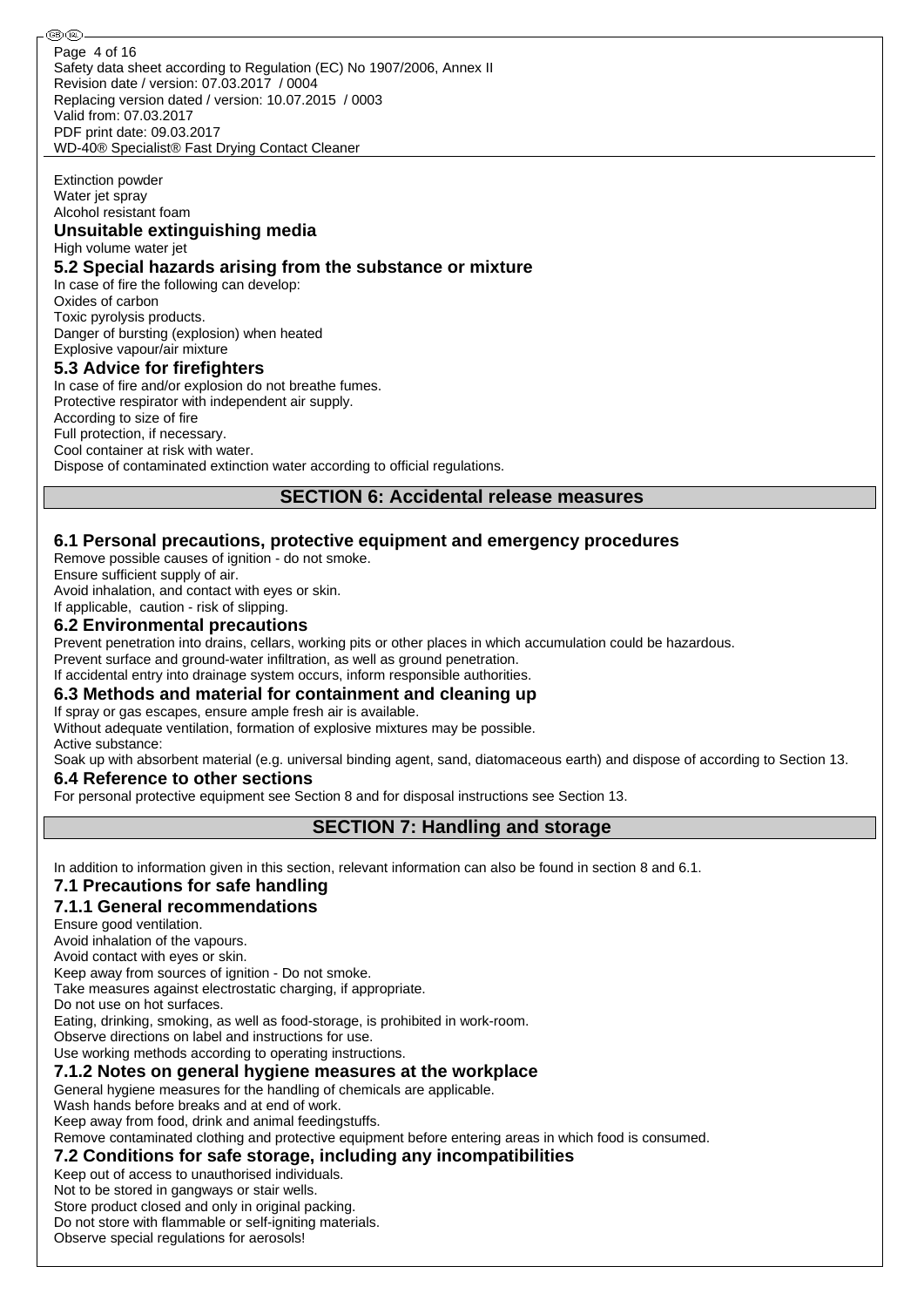Safety data sheet according to Regulation (EC) No 1907/2006, Annex II Revision date / version: 07.03.2017 / 0004 Replacing version dated / version: 10.07.2015 / 0003 Valid from: 07.03.2017 PDF print date: 09.03.2017 WD-40® Specialist® Fast Drying Contact Cleaner Page 4 of 16

#### Extinction powder Water jet spray Alcohol resistant foam

# **Unsuitable extinguishing media**

High volume water jet

### **5.2 Special hazards arising from the substance or mixture**

In case of fire the following can develop: Oxides of carbon Toxic pyrolysis products. Danger of bursting (explosion) when heated Explosive vapour/air mixture

### **5.3 Advice for firefighters**

In case of fire and/or explosion do not breathe fumes. Protective respirator with independent air supply. According to size of fire Full protection, if necessary. Cool container at risk with water. Dispose of contaminated extinction water according to official regulations.

## **SECTION 6: Accidental release measures**

### **6.1 Personal precautions, protective equipment and emergency procedures**

Remove possible causes of ignition - do not smoke.

Ensure sufficient supply of air.

Avoid inhalation, and contact with eyes or skin.

If applicable, caution - risk of slipping.

### **6.2 Environmental precautions**

Prevent penetration into drains, cellars, working pits or other places in which accumulation could be hazardous.

Prevent surface and ground-water infiltration, as well as ground penetration.

### If accidental entry into drainage system occurs, inform responsible authorities.

### **6.3 Methods and material for containment and cleaning up**

If spray or gas escapes, ensure ample fresh air is available.

Without adequate ventilation, formation of explosive mixtures may be possible. Active substance:

Soak up with absorbent material (e.g. universal binding agent, sand, diatomaceous earth) and dispose of according to Section 13.

### **6.4 Reference to other sections**

For personal protective equipment see Section 8 and for disposal instructions see Section 13.

## **SECTION 7: Handling and storage**

In addition to information given in this section, relevant information can also be found in section 8 and 6.1.

### **7.1 Precautions for safe handling**

### **7.1.1 General recommendations**

Ensure good ventilation.

Avoid inhalation of the vapours.

Avoid contact with eyes or skin.

Keep away from sources of ignition - Do not smoke.

Take measures against electrostatic charging, if appropriate.

Do not use on hot surfaces.

Eating, drinking, smoking, as well as food-storage, is prohibited in work-room.

Observe directions on label and instructions for use.

Use working methods according to operating instructions.

### **7.1.2 Notes on general hygiene measures at the workplace**

General hygiene measures for the handling of chemicals are applicable.

Wash hands before breaks and at end of work.

Keep away from food, drink and animal feedingstuffs.

Remove contaminated clothing and protective equipment before entering areas in which food is consumed.

### **7.2 Conditions for safe storage, including any incompatibilities**

Keep out of access to unauthorised individuals.

Not to be stored in gangways or stair wells.

Store product closed and only in original packing.

Do not store with flammable or self-igniting materials.

Observe special regulations for aerosols!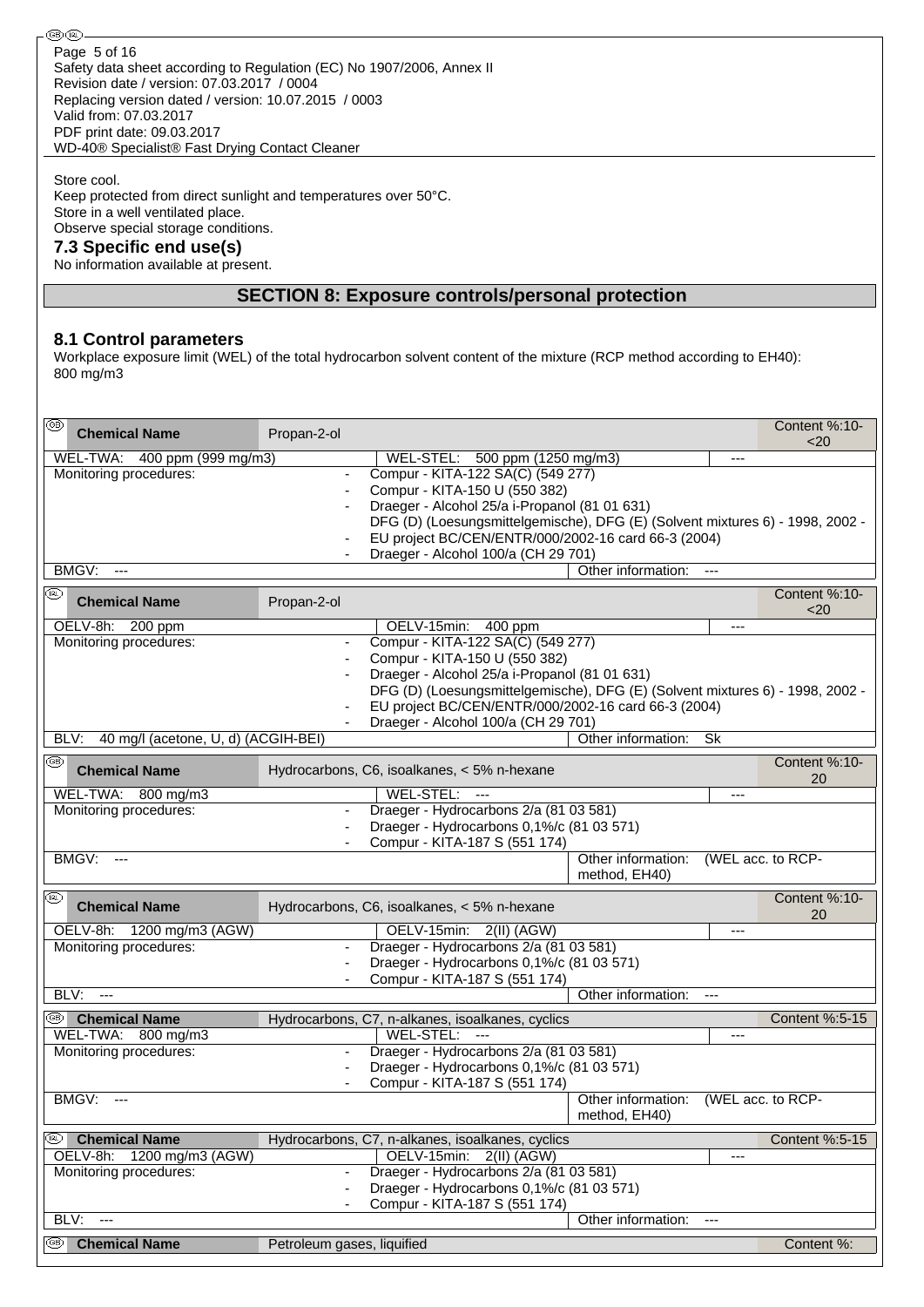Safety data sheet according to Regulation (EC) No 1907/2006, Annex II Revision date / version: 07.03.2017 / 0004 Replacing version dated / version: 10.07.2015 / 0003 Valid from: 07.03.2017 PDF print date: 09.03.2017 WD-40® Specialist® Fast Drying Contact Cleaner Page 5 of 16

Store cool.

Keep protected from direct sunlight and temperatures over 50°C. Store in a well ventilated place. Observe special storage conditions.

### **7.3 Specific end use(s)**

No information available at present.

### **SECTION 8: Exposure controls/personal protection**

### **8.1 Control parameters**

Workplace exposure limit (WEL) of the total hydrocarbon solvent content of the mixture (RCP method according to EH40): 800 mg/m3

| ⊛<br><b>Chemical Name</b>                   | Propan-2-ol                |                                                                               |                                     |                | Content %:10-<br>$20$ |
|---------------------------------------------|----------------------------|-------------------------------------------------------------------------------|-------------------------------------|----------------|-----------------------|
| WEL-TWA: 400 ppm (999 mg/m3)                |                            | WEL-STEL: 500 ppm (1250 mg/m3)                                                |                                     | $---$          |                       |
| Monitoring procedures:                      |                            | Compur - KITA-122 SA(C) (549 277)                                             |                                     |                |                       |
|                                             |                            | Compur - KITA-150 U (550 382)                                                 |                                     |                |                       |
|                                             |                            | Draeger - Alcohol 25/a i-Propanol (81 01 631)                                 |                                     |                |                       |
|                                             |                            | DFG (D) (Loesungsmittelgemische), DFG (E) (Solvent mixtures 6) - 1998, 2002 - |                                     |                |                       |
|                                             |                            | EU project BC/CEN/ENTR/000/2002-16 card 66-3 (2004)                           |                                     |                |                       |
|                                             |                            | Draeger - Alcohol 100/a (CH 29 701)                                           |                                     |                |                       |
| BMGV:<br>$\overline{a}$                     |                            |                                                                               | Other information:                  | $\overline{a}$ |                       |
| (FR)<br><b>Chemical Name</b>                | Propan-2-ol                |                                                                               |                                     |                | Content %:10-<br>$20$ |
| OELV-8h: 200 ppm                            |                            | OELV-15min:<br>400 ppm                                                        |                                     | $---$          |                       |
| Monitoring procedures:                      | $\overline{\phantom{a}}$   | Compur - KITA-122 SA(C) (549 277)                                             |                                     |                |                       |
|                                             |                            | Compur - KITA-150 U (550 382)                                                 |                                     |                |                       |
|                                             |                            | Draeger - Alcohol 25/a i-Propanol (81 01 631)                                 |                                     |                |                       |
|                                             |                            | DFG (D) (Loesungsmittelgemische), DFG (E) (Solvent mixtures 6) - 1998, 2002 - |                                     |                |                       |
|                                             |                            | EU project BC/CEN/ENTR/000/2002-16 card 66-3 (2004)                           |                                     |                |                       |
|                                             |                            | Draeger - Alcohol 100/a (CH 29 701)                                           |                                     |                |                       |
| 40 mg/l (acetone, U, d) (ACGIH-BEI)<br>BLV: |                            |                                                                               | Other information:                  | Sk             |                       |
| ⊛                                           |                            |                                                                               |                                     |                | Content %:10-         |
| <b>Chemical Name</b>                        |                            | Hydrocarbons, C6, isoalkanes, < 5% n-hexane                                   |                                     |                | 20                    |
| WEL-TWA: 800 mg/m3                          |                            | WEL-STEL: ---                                                                 |                                     | $---$          |                       |
| Monitoring procedures:                      | $\overline{\phantom{a}}$   | Draeger - Hydrocarbons 2/a (81 03 581)                                        |                                     |                |                       |
|                                             |                            | Draeger - Hydrocarbons 0,1%/c (81 03 571)                                     |                                     |                |                       |
|                                             |                            | Compur - KITA-187 S (551 174)                                                 |                                     |                |                       |
| <b>BMGV: ---</b>                            |                            |                                                                               | Other information:<br>method, EH40) |                | (WEL acc. to RCP-     |
| ⊛<br><b>Chemical Name</b>                   |                            | Hydrocarbons, C6, isoalkanes, < 5% n-hexane                                   |                                     |                | Content %:10-<br>20   |
| OELV-8h:<br>1200 mg/m3 (AGW)                |                            | OELV-15min:<br>$2(II)$ (AGW)                                                  |                                     | ---            |                       |
| Monitoring procedures:                      |                            | Draeger - Hydrocarbons 2/a (81 03 581)                                        |                                     |                |                       |
|                                             |                            | Draeger - Hydrocarbons 0,1%/c (81 03 571)                                     |                                     |                |                       |
|                                             |                            | Compur - KITA-187 S (551 174)                                                 |                                     |                |                       |
| BLV:<br>$\overline{a}$                      |                            |                                                                               | Other information:                  | $\cdots$       |                       |
| <sup>5</sup> Chemical Name                  |                            | Hydrocarbons, C7, n-alkanes, isoalkanes, cyclics                              |                                     |                | Content %:5-15        |
| WEL-TWA: 800 mg/m3                          |                            | WEL-STEL: ---                                                                 |                                     | $---$          |                       |
| Monitoring procedures:                      |                            | Draeger - Hydrocarbons 2/a (81 03 581)                                        |                                     |                |                       |
|                                             |                            | Draeger - Hydrocarbons 0,1%/c (81 03 571)                                     |                                     |                |                       |
|                                             |                            | Compur - KITA-187 S (551 174)                                                 |                                     |                |                       |
| BMGV:                                       |                            |                                                                               | Other information:                  |                | (WEL acc. to RCP-     |
|                                             |                            |                                                                               | method, EH40)                       |                |                       |
| <b>Chemical Name</b><br>(BL)                |                            | Hydrocarbons, C7, n-alkanes, isoalkanes, cyclics                              |                                     |                | Content %:5-15        |
| OELV-8h:<br>1200 mg/m3 (AGW)                |                            | OELV-15min:<br>$2(III)$ (AGW)                                                 |                                     | ---            |                       |
| Monitoring procedures:                      |                            | Draeger - Hydrocarbons 2/a (81 03 581)                                        |                                     |                |                       |
|                                             |                            | Draeger - Hydrocarbons 0,1%/c (81 03 571)                                     |                                     |                |                       |
|                                             |                            | Compur - KITA-187 S (551 174)                                                 |                                     |                |                       |
| BLV:<br>$\overline{a}$                      |                            |                                                                               | Other information:                  | $---$          |                       |
| ⊛<br><b>Chemical Name</b>                   | Petroleum gases, liquified |                                                                               |                                     |                | Content %:            |
|                                             |                            |                                                                               |                                     |                |                       |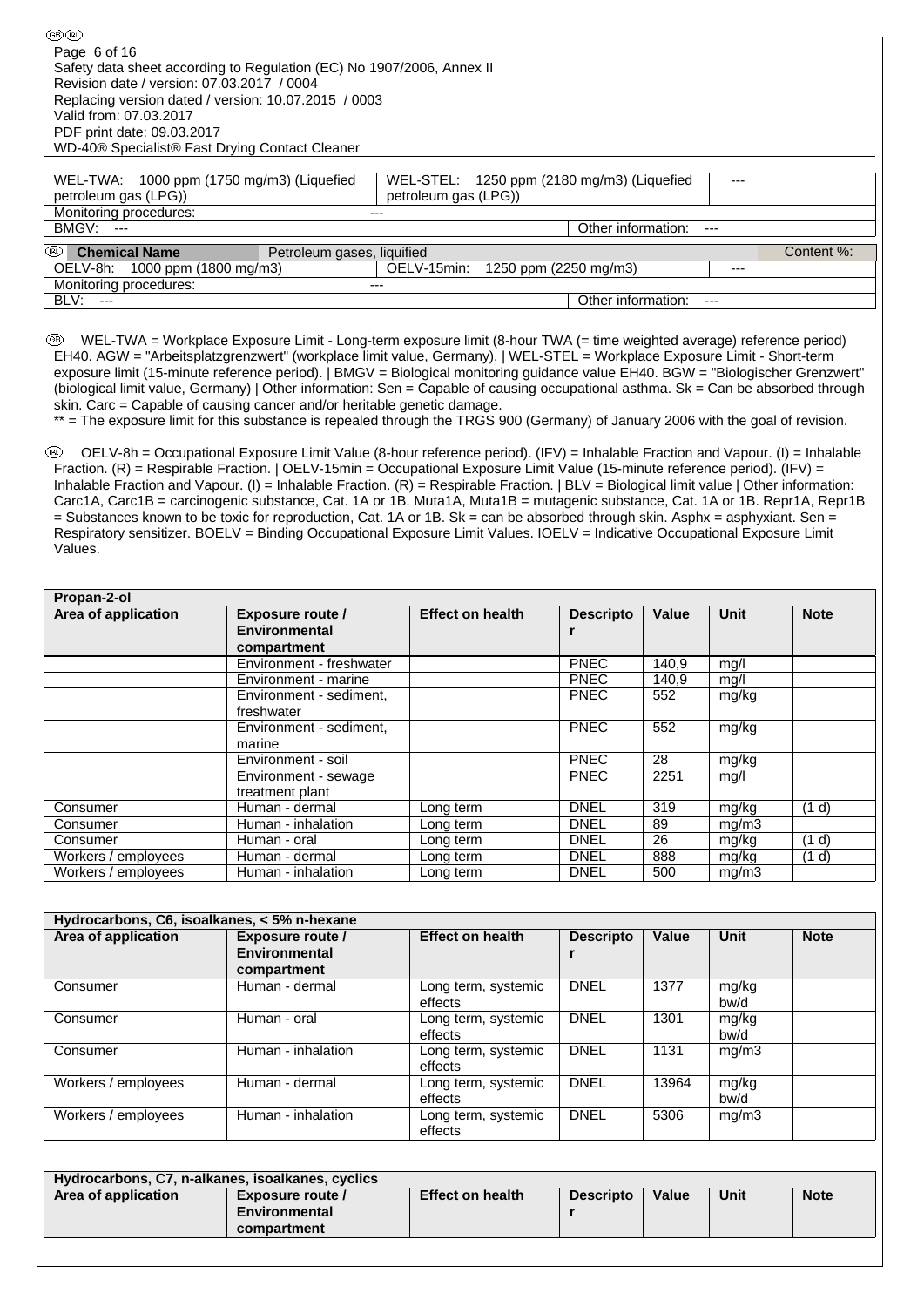| = Substances known to be toxic for reproduction, Cat. 1A or 1B. Sk = can be absorbed through skin. Asphx = asphyxiant. Sen =<br>Respiratory sensitizer. BOELV = Binding Occupational Exposure Limit Values. IOELV = Indicative Occupational Exposure Limit<br>Values.<br>Propan-2-ol |                                                         |                                |                            |                        |                |                |  |  |  |
|--------------------------------------------------------------------------------------------------------------------------------------------------------------------------------------------------------------------------------------------------------------------------------------|---------------------------------------------------------|--------------------------------|----------------------------|------------------------|----------------|----------------|--|--|--|
| Area of application                                                                                                                                                                                                                                                                  | <b>Exposure route /</b>                                 | <b>Effect on health</b>        | <b>Descripto</b>           | Value                  | <b>Unit</b>    | <b>Note</b>    |  |  |  |
|                                                                                                                                                                                                                                                                                      | <b>Environmental</b><br>compartment                     |                                | r                          |                        |                |                |  |  |  |
|                                                                                                                                                                                                                                                                                      | Environment - freshwater                                |                                | <b>PNEC</b>                | 140,9                  | mg/l           |                |  |  |  |
|                                                                                                                                                                                                                                                                                      | Environment - marine<br>Environment - sediment,         |                                | <b>PNEC</b><br><b>PNEC</b> | 140,9<br>552           | mg/l           |                |  |  |  |
|                                                                                                                                                                                                                                                                                      | freshwater                                              |                                |                            |                        | mg/kg          |                |  |  |  |
|                                                                                                                                                                                                                                                                                      |                                                         |                                | PNEC                       | 552                    | mg/kg          |                |  |  |  |
|                                                                                                                                                                                                                                                                                      | Environment - sediment,                                 |                                |                            |                        |                |                |  |  |  |
|                                                                                                                                                                                                                                                                                      | marine                                                  |                                |                            |                        |                |                |  |  |  |
|                                                                                                                                                                                                                                                                                      | Environment - soil                                      |                                | <b>PNEC</b>                | 28                     | mg/kg          |                |  |  |  |
|                                                                                                                                                                                                                                                                                      | Environment - sewage<br>treatment plant                 |                                | <b>PNEC</b>                | 2251                   | mg/l           |                |  |  |  |
| Consumer                                                                                                                                                                                                                                                                             | Human - dermal                                          | Long term                      | <b>DNEL</b>                | 319                    | mg/kg          | (1 d)          |  |  |  |
| Consumer                                                                                                                                                                                                                                                                             | Human - inhalation                                      | Long term                      | <b>DNEL</b>                | 89                     | mg/m3          |                |  |  |  |
| Consumer                                                                                                                                                                                                                                                                             | Human - oral<br>Human - dermal                          | Long term                      | <b>DNEL</b><br><b>DNEL</b> | $\overline{26}$<br>888 | mg/kg          | (1 d)<br>(1 d) |  |  |  |
| Workers / employees<br>Workers / employees                                                                                                                                                                                                                                           | Human - inhalation                                      | Long term<br>Long term         | <b>DNEL</b>                | 500                    | mg/kg<br>mg/m3 |                |  |  |  |
| Hydrocarbons, C6, isoalkanes, < 5% n-hexane                                                                                                                                                                                                                                          |                                                         |                                |                            |                        |                |                |  |  |  |
| Area of application                                                                                                                                                                                                                                                                  | <b>Exposure route /</b><br>Environmental<br>compartment | <b>Effect on health</b>        | <b>Descripto</b><br>r      | Value                  | <b>Unit</b>    | <b>Note</b>    |  |  |  |
| Consumer                                                                                                                                                                                                                                                                             | Human - dermal                                          | Long term, systemic<br>effects | <b>DNEL</b>                | 1377                   | mg/kg<br>bw/d  |                |  |  |  |
| Consumer                                                                                                                                                                                                                                                                             | Human - oral                                            | Long term, systemic<br>effects | <b>DNEL</b>                | 1301                   | mg/kg<br>bw/d  |                |  |  |  |
| Consumer                                                                                                                                                                                                                                                                             | Human - inhalation                                      | Long term, systemic<br>effects | <b>DNEL</b>                | 1131                   | mg/m3          |                |  |  |  |
| Workers / employees                                                                                                                                                                                                                                                                  | Human - dermal                                          | Long term, systemic<br>effects | <b>DNEL</b>                | 13964                  | mg/kg<br>bw/d  |                |  |  |  |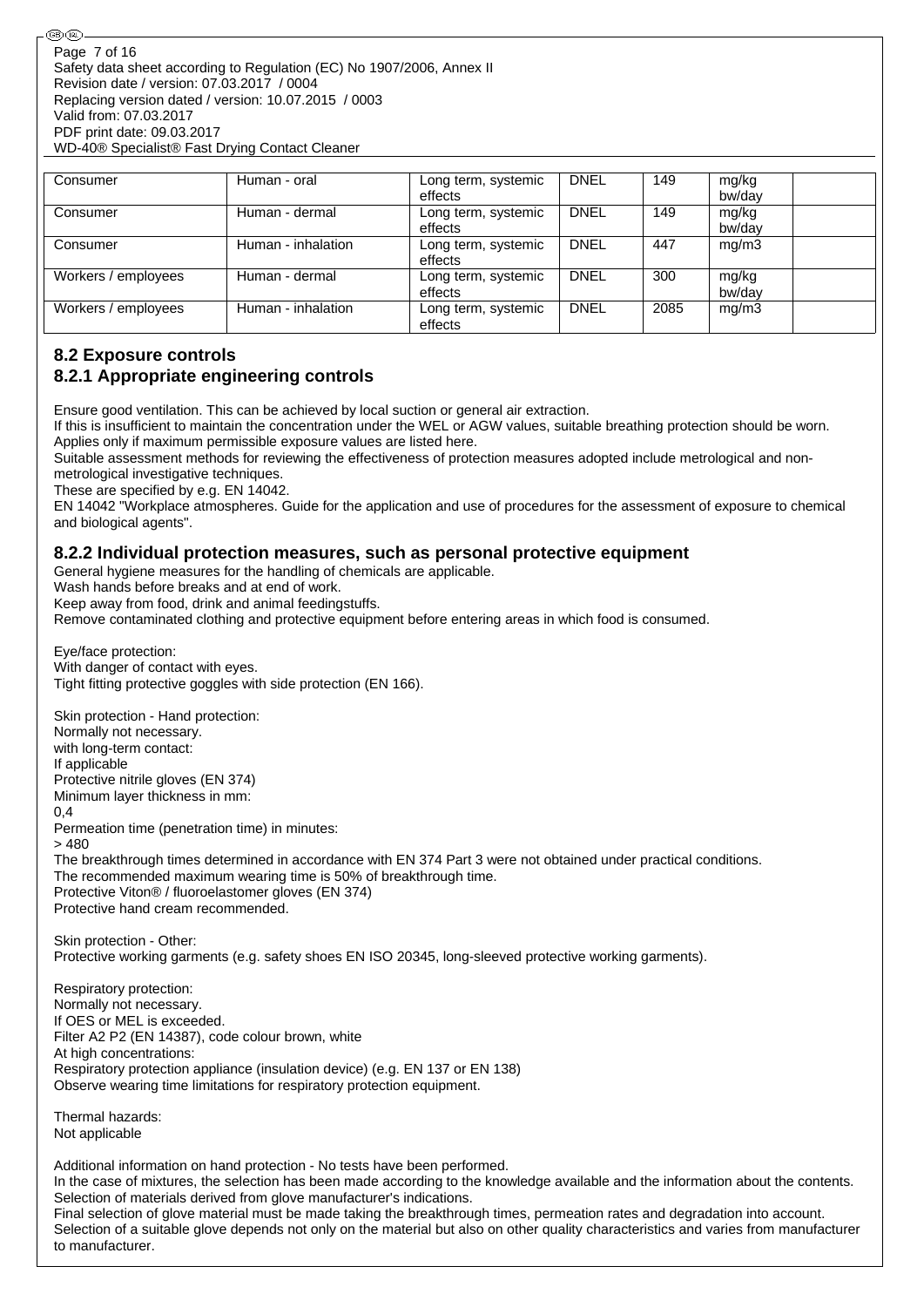| Consumer            | Human - oral       | Long term, systemic<br>effects | <b>DNEL</b> | 149  | mg/kg<br>bw/day |  |
|---------------------|--------------------|--------------------------------|-------------|------|-----------------|--|
| Consumer            | Human - dermal     | Long term, systemic<br>effects | <b>DNEL</b> | 149  | mg/kg<br>bw/day |  |
| Consumer            | Human - inhalation | Long term, systemic<br>effects | <b>DNEL</b> | 447  | mq/m3           |  |
| Workers / employees | Human - dermal     | Long term, systemic<br>effects | <b>DNEL</b> | 300  | mg/kg<br>bw/dav |  |
| Workers / employees | Human - inhalation | Long term, systemic<br>effects | DNEL        | 2085 | mq/m3           |  |

## **8.2 Exposure controls**

## **8.2.1 Appropriate engineering controls**

Ensure good ventilation. This can be achieved by local suction or general air extraction.

If this is insufficient to maintain the concentration under the WEL or AGW values, suitable breathing protection should be worn. Applies only if maximum permissible exposure values are listed here.

Suitable assessment methods for reviewing the effectiveness of protection measures adopted include metrological and nonmetrological investigative techniques.

These are specified by e.g. EN 14042.

EN 14042 "Workplace atmospheres. Guide for the application and use of procedures for the assessment of exposure to chemical and biological agents".

### **8.2.2 Individual protection measures, such as personal protective equipment**

General hygiene measures for the handling of chemicals are applicable.

Wash hands before breaks and at end of work.

Keep away from food, drink and animal feedingstuffs.

Remove contaminated clothing and protective equipment before entering areas in which food is consumed.

Eye/face protection: With danger of contact with eyes. Tight fitting protective goggles with side protection (EN 166).

Skin protection - Hand protection: Normally not necessary. with long-term contact: If applicable

Protective nitrile gloves (EN 374) Minimum layer thickness in mm:

0,4 Permeation time (penetration time) in minutes:

> 480

The breakthrough times determined in accordance with EN 374 Part 3 were not obtained under practical conditions. The recommended maximum wearing time is 50% of breakthrough time. Protective Viton® / fluoroelastomer gloves (EN 374) Protective hand cream recommended.

Skin protection - Other: Protective working garments (e.g. safety shoes EN ISO 20345, long-sleeved protective working garments).

Respiratory protection: Normally not necessary. If OES or MEL is exceeded. Filter A2 P2 (EN 14387), code colour brown, white At high concentrations: Respiratory protection appliance (insulation device) (e.g. EN 137 or EN 138) Observe wearing time limitations for respiratory protection equipment.

Thermal hazards: Not applicable

Additional information on hand protection - No tests have been performed. In the case of mixtures, the selection has been made according to the knowledge available and the information about the contents. Selection of materials derived from glove manufacturer's indications. Final selection of glove material must be made taking the breakthrough times, permeation rates and degradation into account. Selection of a suitable glove depends not only on the material but also on other quality characteristics and varies from manufacturer to manufacturer.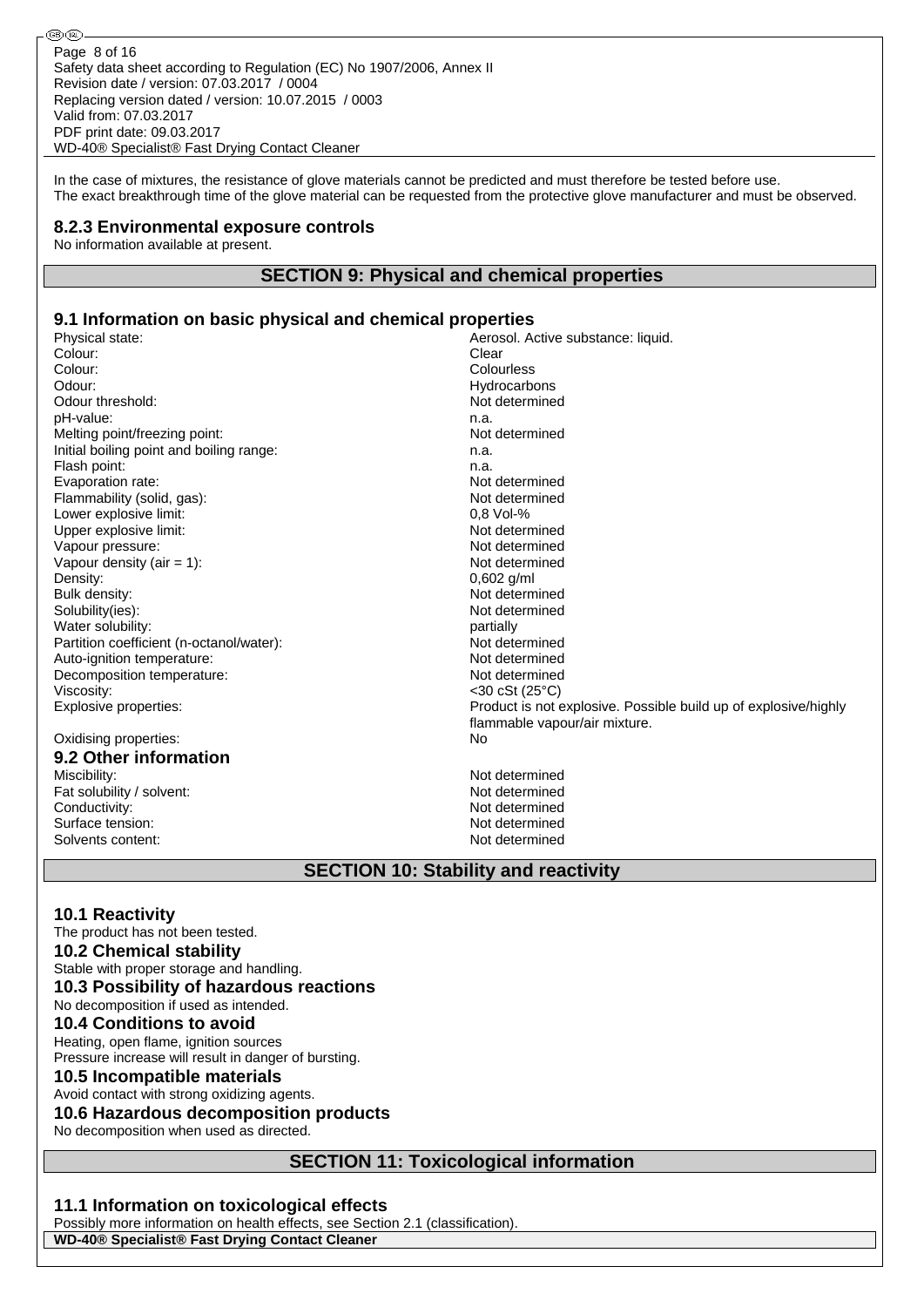In the case of mixtures, the resistance of glove materials cannot be predicted and must therefore be tested before use. The exact breakthrough time of the glove material can be requested from the protective glove manufacturer and must be observed.

### **8.2.3 Environmental exposure controls**

No information available at present.

®0බ

### **SECTION 9: Physical and chemical properties**

### **9.1 Information on basic physical and chemical properties**

Physical state: <br>
Colour: Colour: Colour: Colour: Clear Colour: Colour: Clear Colour: Colour: Colourless Colourless (2001)<br>Colour: Colour: Colourless (2001)<br>Colour: Colour: Colourless (2002) Odour threshold: pH-value:<br>
Melting point/freezing point:<br>
Melting point/freezing point:<br>
Mot determined Melting point/freezing point: Initial boiling point and boiling range: n.a. Flash point: n.a. Evaporation rate: Not determined Flammability (solid, gas): Not determined Lower explosive limit:  $0.8$  Vol-% Upper explosive limit:<br>
Vapour pressure: Not determined<br>
Vapour pressure: Not determined Vapour pressure: Vapour density (air = 1): Not determined Density: 0,602 g/ml Bulk density: Not determined Solubility(ies): Not determined Water solubility:<br>
Partition coefficient (n-octanol/water):<br>
Partition coefficient (n-octanol/water):<br>
Partition coefficient (n-octanol/water): Partition coefficient (n-octanol/water):<br>Auto-ignition temperature: Not determined<br>Not determined Auto-ignition temperature: Decomposition temperature: Not determined Viscosity:  $\sim$  20 cSt (25°C)<br>Explosive properties:  $\sim$  20 cSt (25°C)

# Oxidising properties: No **9.2 Other information**

Fat solubility / solvent:<br>
Conductivity:<br>
Not determined Surface tension: Solvents content: Not determined

Hydrocarbons<br>Not determined Product is not explosive. Possible build up of explosive/highly flammable vapour/air mixture. Not determined

### **SECTION 10: Stability and reactivity**

Not determined<br>Not determined

### **10.1 Reactivity**

The product has not been tested.

#### **10.2 Chemical stability**

Stable with proper storage and handling.

## **10.3 Possibility of hazardous reactions**

No decomposition if used as intended.

### **10.4 Conditions to avoid**

Heating, open flame, ignition sources Pressure increase will result in danger of bursting.

#### **10.5 Incompatible materials**

Avoid contact with strong oxidizing agents.

### **10.6 Hazardous decomposition products**

No decomposition when used as directed.

### **SECTION 11: Toxicological information**

### **11.1 Information on toxicological effects**

Possibly more information on health effects, see Section 2.1 (classification). **WD-40® Specialist® Fast Drying Contact Cleaner**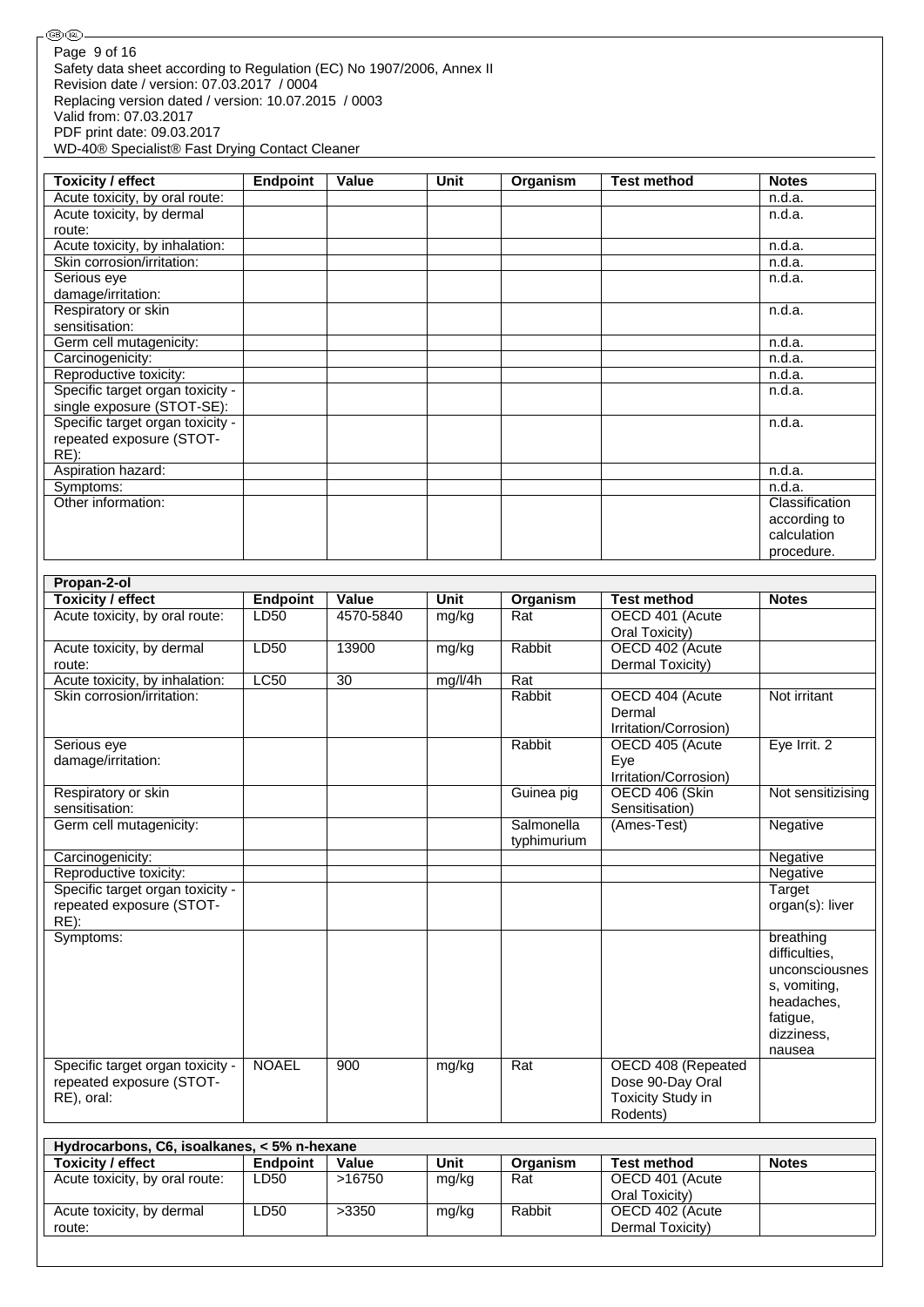Safety data sheet according to Regulation (EC) No 1907/2006, Annex II Revision date / version: 07.03.2017 / 0004 Replacing version dated / version: 10.07.2015 / 0003 Valid from: 07.03.2017 PDF print date: 09.03.2017 WD-40® Specialist® Fast Drying Contact Cleaner Page 9 of 16

…<br>④ 4D-

Acute toxicity, by dermal

route:

| <b>Toxicity / effect</b>         | <b>Endpoint</b> | Value | <b>Unit</b> | Organism | <b>Test method</b> | <b>Notes</b>   |
|----------------------------------|-----------------|-------|-------------|----------|--------------------|----------------|
| Acute toxicity, by oral route:   |                 |       |             |          |                    | n.d.a.         |
| Acute toxicity, by dermal        |                 |       |             |          |                    | n.d.a.         |
| route:                           |                 |       |             |          |                    |                |
| Acute toxicity, by inhalation:   |                 |       |             |          |                    | n.d.a.         |
| Skin corrosion/irritation:       |                 |       |             |          |                    | n.d.a.         |
| Serious eye                      |                 |       |             |          |                    | n.d.a.         |
| damage/irritation:               |                 |       |             |          |                    |                |
| Respiratory or skin              |                 |       |             |          |                    | n.d.a.         |
| sensitisation:                   |                 |       |             |          |                    |                |
| Germ cell mutagenicity:          |                 |       |             |          |                    | n.d.a.         |
| Carcinogenicity:                 |                 |       |             |          |                    | n.d.a.         |
| Reproductive toxicity:           |                 |       |             |          |                    | n.d.a.         |
| Specific target organ toxicity - |                 |       |             |          |                    | n.d.a.         |
| single exposure (STOT-SE):       |                 |       |             |          |                    |                |
| Specific target organ toxicity - |                 |       |             |          |                    | n.d.a.         |
| repeated exposure (STOT-         |                 |       |             |          |                    |                |
| $RE)$ :                          |                 |       |             |          |                    |                |
| Aspiration hazard:               |                 |       |             |          |                    | n.d.a.         |
| Symptoms:                        |                 |       |             |          |                    | n.d.a.         |
| Other information:               |                 |       |             |          |                    | Classification |
|                                  |                 |       |             |          |                    | according to   |
|                                  |                 |       |             |          |                    | calculation    |
|                                  |                 |       |             |          |                    | procedure.     |

| Propan-2-ol                                 |                 |                 |             |                  |                       |                   |
|---------------------------------------------|-----------------|-----------------|-------------|------------------|-----------------------|-------------------|
| <b>Toxicity / effect</b>                    | <b>Endpoint</b> | Value           | <b>Unit</b> | Organism         | <b>Test method</b>    | <b>Notes</b>      |
| Acute toxicity, by oral route:              | <b>LD50</b>     | 4570-5840       | mg/kg       | Rat              | OECD 401 (Acute       |                   |
|                                             |                 |                 |             |                  | Oral Toxicity)        |                   |
| Acute toxicity, by dermal                   | LD50            | 13900           | mg/kg       | Rabbit           | OECD 402 (Acute       |                   |
| route:                                      |                 |                 |             |                  | Dermal Toxicity)      |                   |
| Acute toxicity, by inhalation:              | LC50            | $\overline{30}$ | mg/l/4h     | $\overline{Rat}$ |                       |                   |
| Skin corrosion/irritation:                  |                 |                 |             | Rabbit           | OECD 404 (Acute       | Not irritant      |
|                                             |                 |                 |             |                  | Dermal                |                   |
|                                             |                 |                 |             |                  | Irritation/Corrosion) |                   |
| Serious eye                                 |                 |                 |             | Rabbit           | OECD 405 (Acute       | Eye Irrit. 2      |
| damage/irritation:                          |                 |                 |             |                  | Eye                   |                   |
|                                             |                 |                 |             |                  | Irritation/Corrosion) |                   |
| Respiratory or skin                         |                 |                 |             | Guinea pig       | OECD 406 (Skin        | Not sensitizising |
| sensitisation:                              |                 |                 |             |                  | Sensitisation)        |                   |
| Germ cell mutagenicity:                     |                 |                 |             | Salmonella       | (Ames-Test)           | Negative          |
|                                             |                 |                 |             | typhimurium      |                       |                   |
| Carcinogenicity:                            |                 |                 |             |                  |                       | Negative          |
| Reproductive toxicity:                      |                 |                 |             |                  |                       | Negative          |
| Specific target organ toxicity -            |                 |                 |             |                  |                       | Target            |
| repeated exposure (STOT-                    |                 |                 |             |                  |                       | organ(s): liver   |
| RE):                                        |                 |                 |             |                  |                       |                   |
| Symptoms:                                   |                 |                 |             |                  |                       | breathing         |
|                                             |                 |                 |             |                  |                       | difficulties,     |
|                                             |                 |                 |             |                  |                       | unconsciousnes    |
|                                             |                 |                 |             |                  |                       | s, vomiting,      |
|                                             |                 |                 |             |                  |                       | headaches,        |
|                                             |                 |                 |             |                  |                       | fatigue,          |
|                                             |                 |                 |             |                  |                       | dizziness,        |
|                                             |                 |                 |             |                  |                       | nausea            |
| Specific target organ toxicity -            | <b>NOAEL</b>    | 900             | mg/kg       | Rat              | OECD 408 (Repeated    |                   |
| repeated exposure (STOT-                    |                 |                 |             |                  | Dose 90-Day Oral      |                   |
| RE), oral:                                  |                 |                 |             |                  | Toxicity Study in     |                   |
|                                             |                 |                 |             |                  | Rodents)              |                   |
|                                             |                 |                 |             |                  |                       |                   |
| Hydrocarbons, C6, isoalkanes, < 5% n-hexane |                 |                 |             |                  |                       |                   |
| <b>Toxicity / effect</b>                    | <b>Endpoint</b> | Value           | <b>Unit</b> | Organism         | <b>Test method</b>    | <b>Notes</b>      |
| Acute toxicity, by oral route:              | LD50            | >16750          | mg/kg       | Rat              | OECD 401 (Acute       |                   |

LD50 >3350 mg/kg Rabbit OECD 402 (Acute

Oral Toxicity)

Dermal Toxicity)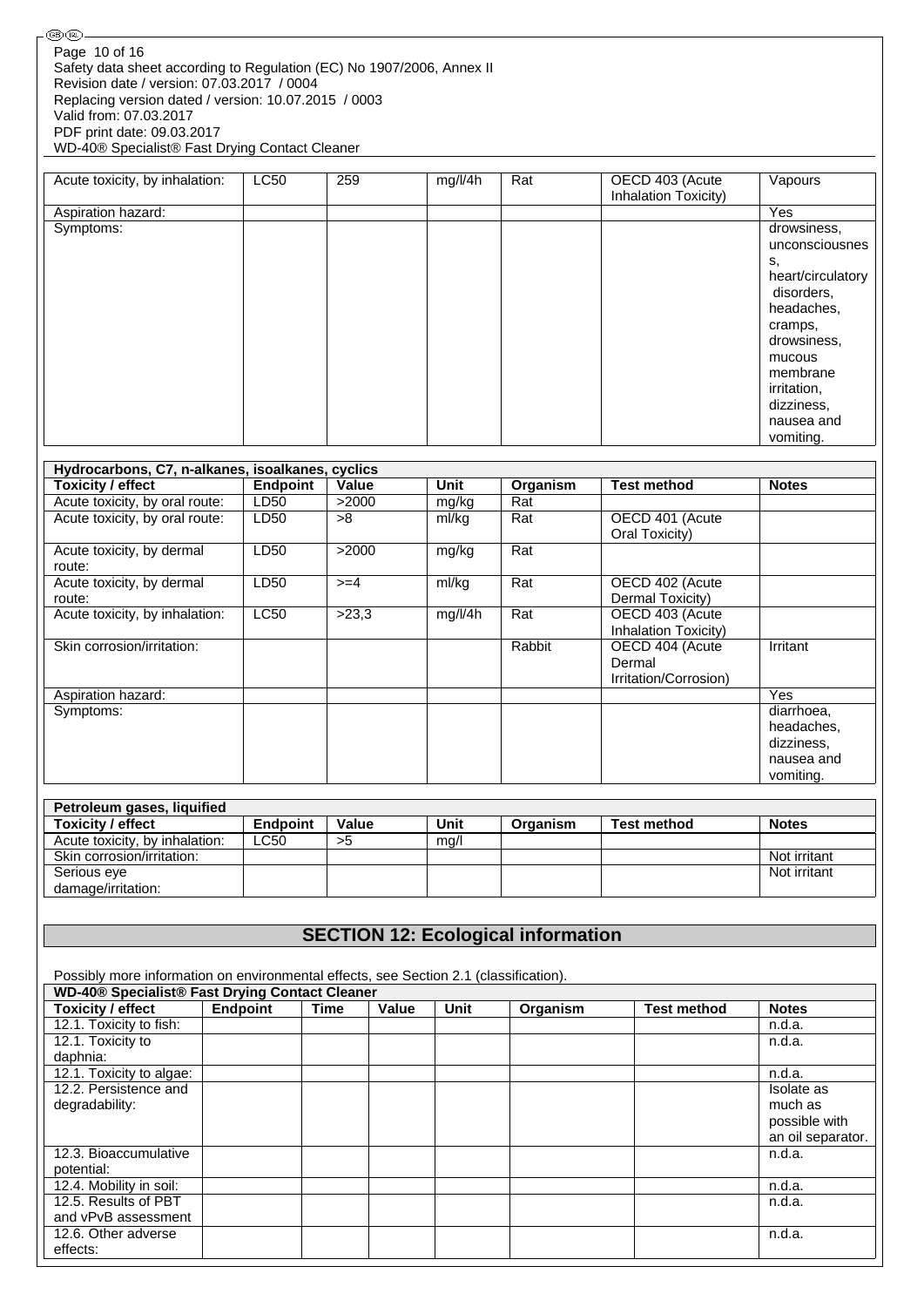| GB) (IRL)                                                                                                                            |  |
|--------------------------------------------------------------------------------------------------------------------------------------|--|
| Page 10 of 16<br>Safety data sheet according to Regulation (EC) No 1907/2006, Annex II<br>Revision date / version: 07.03.2017 / 0004 |  |
| Replacing version dated / version: 10.07.2015 / 0003<br>Valid from: 07.03.2017                                                       |  |
| PDF print date: 09.03.2017<br>WD-40® Specialist® Fast Drying Contact Cleaner                                                         |  |

| Acute toxicity, by inhalation: | <b>LC50</b> | 259 | mg/l/4h | Rat | OECD 403 (Acute<br><b>Inhalation Toxicity)</b> | Vapours                                                                                                                                             |
|--------------------------------|-------------|-----|---------|-----|------------------------------------------------|-----------------------------------------------------------------------------------------------------------------------------------------------------|
| Aspiration hazard:             |             |     |         |     |                                                | Yes                                                                                                                                                 |
| Symptoms:                      |             |     |         |     |                                                | drowsiness,<br>unconsciousnes<br>s.<br>heart/circulatory<br>disorders,<br>headaches,<br>cramps,<br>drowsiness,<br>mucous<br>membrane<br>irritation, |
|                                |             |     |         |     |                                                | dizziness,<br>nausea and<br>vomiting.                                                                                                               |

| Hydrocarbons, C7, n-alkanes, isoalkanes, cyclics |             |        |         |          |                       |              |
|--------------------------------------------------|-------------|--------|---------|----------|-----------------------|--------------|
| <b>Toxicity / effect</b>                         | Endpoint    | Value  | Unit    | Organism | <b>Test method</b>    | <b>Notes</b> |
| Acute toxicity, by oral route:                   | LD50        | >2000  | mg/kg   | Rat      |                       |              |
| Acute toxicity, by oral route:                   | LD50        | >8     | ml/kg   | Rat      | OECD 401 (Acute       |              |
|                                                  |             |        |         |          | Oral Toxicity)        |              |
| Acute toxicity, by dermal                        | LD50        | >2000  | mg/kg   | Rat      |                       |              |
| route:                                           |             |        |         |          |                       |              |
| Acute toxicity, by dermal                        | LD50        | $>=$ 4 | ml/kg   | Rat      | OECD 402 (Acute       |              |
| route:                                           |             |        |         |          | Dermal Toxicity)      |              |
| Acute toxicity, by inhalation:                   | <b>LC50</b> | >23,3  | mg/l/4h | Rat      | OECD 403 (Acute       |              |
|                                                  |             |        |         |          | Inhalation Toxicity)  |              |
| Skin corrosion/irritation:                       |             |        |         | Rabbit   | OECD 404 (Acute       | Irritant     |
|                                                  |             |        |         |          | Dermal                |              |
|                                                  |             |        |         |          | Irritation/Corrosion) |              |
| Aspiration hazard:                               |             |        |         |          |                       | <b>Yes</b>   |
| Symptoms:                                        |             |        |         |          |                       | diarrhoea,   |
|                                                  |             |        |         |          |                       | headaches,   |
|                                                  |             |        |         |          |                       | dizziness,   |
|                                                  |             |        |         |          |                       | nausea and   |
|                                                  |             |        |         |          |                       | vomiting.    |

| Petroleum gases, liquified     |                 |       |      |          |             |              |
|--------------------------------|-----------------|-------|------|----------|-------------|--------------|
| Toxicity / effect              | <b>Endpoint</b> | Value | Unit | Organism | Test method | <b>Notes</b> |
| Acute toxicity, by inhalation: | LC50            | >5    | mg/l |          |             |              |
| Skin corrosion/irritation:     |                 |       |      |          |             | Not irritant |
| Serious eye                    |                 |       |      |          |             | Not irritant |
| damage/irritation:             |                 |       |      |          |             |              |

# **SECTION 12: Ecological information**

Possibly more information on environmental effects, see Section 2.1 (classification).

|                          | WD-40® Specialist® Fast Drying Contact Cleaner |      |       |      |          |                    |                   |  |  |  |
|--------------------------|------------------------------------------------|------|-------|------|----------|--------------------|-------------------|--|--|--|
| <b>Toxicity / effect</b> | <b>Endpoint</b>                                | Time | Value | Unit | Organism | <b>Test method</b> | <b>Notes</b>      |  |  |  |
| 12.1. Toxicity to fish:  |                                                |      |       |      |          |                    | n.d.a.            |  |  |  |
| 12.1. Toxicity to        |                                                |      |       |      |          |                    | n.d.a.            |  |  |  |
| daphnia:                 |                                                |      |       |      |          |                    |                   |  |  |  |
| 12.1. Toxicity to algae: |                                                |      |       |      |          |                    | n.d.a.            |  |  |  |
| 12.2. Persistence and    |                                                |      |       |      |          |                    | Isolate as        |  |  |  |
| degradability:           |                                                |      |       |      |          |                    | much as           |  |  |  |
|                          |                                                |      |       |      |          |                    | possible with     |  |  |  |
|                          |                                                |      |       |      |          |                    | an oil separator. |  |  |  |
| 12.3. Bioaccumulative    |                                                |      |       |      |          |                    | n.d.a.            |  |  |  |
| potential:               |                                                |      |       |      |          |                    |                   |  |  |  |
| 12.4. Mobility in soil:  |                                                |      |       |      |          |                    | n.d.a.            |  |  |  |
| 12.5. Results of PBT     |                                                |      |       |      |          |                    | n.d.a.            |  |  |  |
| and vPvB assessment      |                                                |      |       |      |          |                    |                   |  |  |  |
| 12.6. Other adverse      |                                                |      |       |      |          |                    | n.d.a.            |  |  |  |
| effects:                 |                                                |      |       |      |          |                    |                   |  |  |  |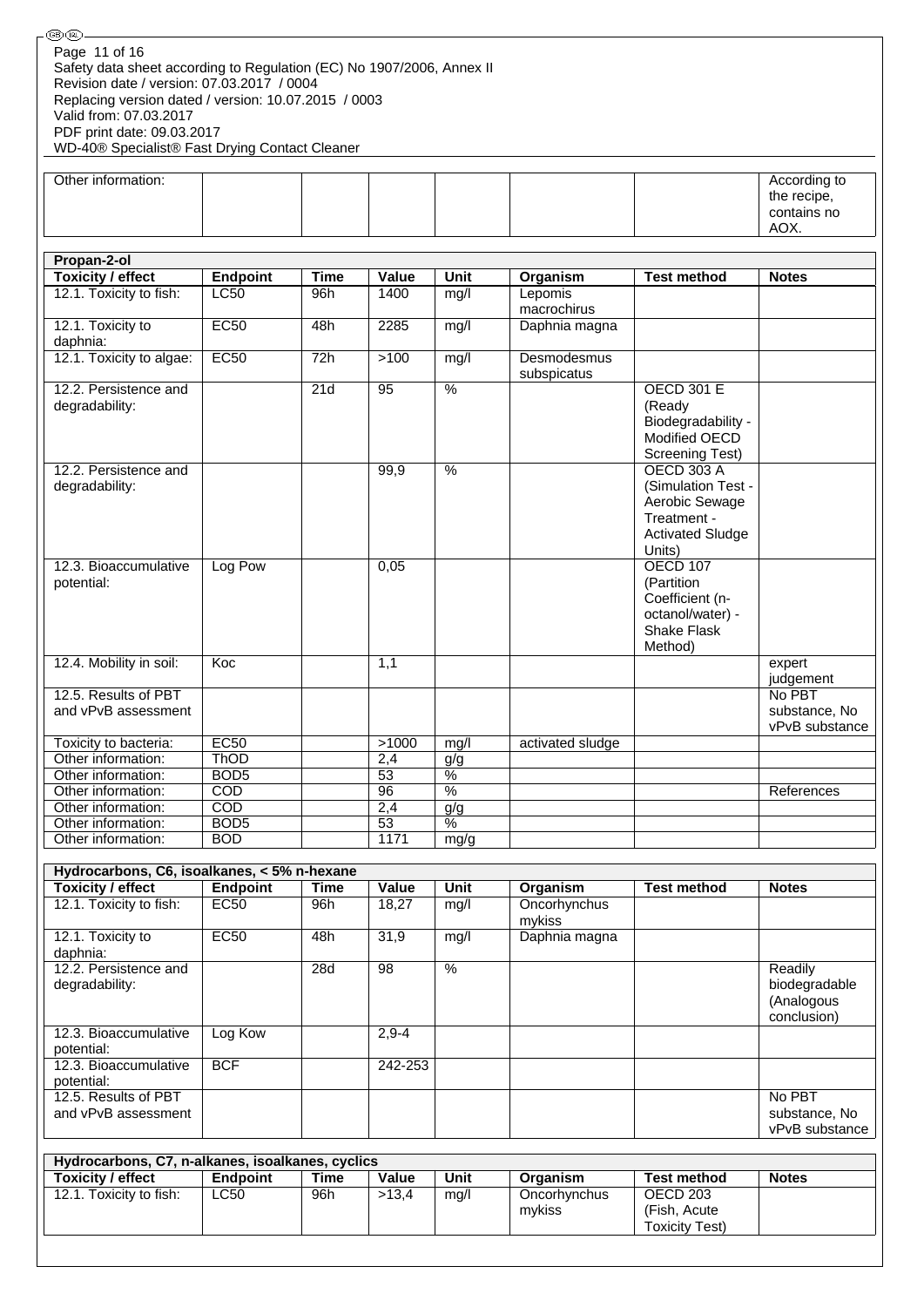| <b>⑧ጪ-</b>                                                                                                                                                                                                                                                                                             |                                      |                  |                 |                          |                            |                                                                                                               |                                                       |  |
|--------------------------------------------------------------------------------------------------------------------------------------------------------------------------------------------------------------------------------------------------------------------------------------------------------|--------------------------------------|------------------|-----------------|--------------------------|----------------------------|---------------------------------------------------------------------------------------------------------------|-------------------------------------------------------|--|
| Page 11 of 16<br>Safety data sheet according to Regulation (EC) No 1907/2006, Annex II<br>Revision date / version: 07.03.2017 / 0004<br>Replacing version dated / version: 10.07.2015 / 0003<br>Valid from: 07.03.2017<br>PDF print date: 09.03.2017<br>WD-40® Specialist® Fast Drying Contact Cleaner |                                      |                  |                 |                          |                            |                                                                                                               |                                                       |  |
| Other information:                                                                                                                                                                                                                                                                                     |                                      |                  |                 |                          |                            |                                                                                                               | According to<br>the recipe,<br>contains no<br>AOX.    |  |
| Propan-2-ol                                                                                                                                                                                                                                                                                            |                                      |                  |                 |                          |                            |                                                                                                               |                                                       |  |
| <b>Toxicity / effect</b>                                                                                                                                                                                                                                                                               | <b>Endpoint</b>                      | <b>Time</b>      | Value           | <b>Unit</b>              | Organism                   | <b>Test method</b>                                                                                            | <b>Notes</b>                                          |  |
| 12.1. Toxicity to fish:                                                                                                                                                                                                                                                                                | <b>LC50</b>                          | 96h              | 1400            | mg/l                     | Lepomis<br>macrochirus     |                                                                                                               |                                                       |  |
| 12.1. Toxicity to                                                                                                                                                                                                                                                                                      | <b>EC50</b>                          | 48h              | 2285            | mg/l                     | Daphnia magna              |                                                                                                               |                                                       |  |
| daphnia:                                                                                                                                                                                                                                                                                               |                                      |                  |                 |                          |                            |                                                                                                               |                                                       |  |
| 12.1. Toxicity to algae:                                                                                                                                                                                                                                                                               | EC50                                 | 72h              | >100            | mg/l                     | Desmodesmus<br>subspicatus |                                                                                                               |                                                       |  |
| 12.2. Persistence and<br>degradability:                                                                                                                                                                                                                                                                |                                      | $\overline{21d}$ | 95              | $\frac{0}{0}$            |                            | <b>OECD 301 E</b><br>(Ready<br>Biodegradability -<br>Modified OECD<br>Screening Test)                         |                                                       |  |
| 12.2. Persistence and<br>degradability:                                                                                                                                                                                                                                                                |                                      |                  | 99,9            | %                        |                            | <b>OECD 303 A</b><br>(Simulation Test -<br>Aerobic Sewage<br>Treatment -<br><b>Activated Sludge</b><br>Units) |                                                       |  |
| 12.3. Bioaccumulative<br>potential:                                                                                                                                                                                                                                                                    | Log Pow                              |                  | 0,05            |                          |                            | <b>OECD 107</b><br>(Partition<br>Coefficient (n-<br>octanol/water) -<br><b>Shake Flask</b><br>Method)         |                                                       |  |
| 12.4. Mobility in soil:                                                                                                                                                                                                                                                                                | Koc                                  |                  | 1,1             |                          |                            |                                                                                                               | expert<br>judgement                                   |  |
| 12.5. Results of PBT                                                                                                                                                                                                                                                                                   |                                      |                  |                 |                          |                            |                                                                                                               | No PBT                                                |  |
| and vPvB assessment                                                                                                                                                                                                                                                                                    |                                      |                  |                 |                          |                            |                                                                                                               | substance, No<br>vPvB substance                       |  |
| Toxicity to bacteria:                                                                                                                                                                                                                                                                                  | EC <sub>50</sub>                     |                  | >1000           | mg/l                     | activated sludge           |                                                                                                               |                                                       |  |
| Other information:                                                                                                                                                                                                                                                                                     | <b>ThOD</b>                          |                  | 2,4             | g/g                      |                            |                                                                                                               |                                                       |  |
| Other information:                                                                                                                                                                                                                                                                                     | BOD <sub>5</sub>                     |                  | 53              | $\overline{\frac{9}{6}}$ |                            |                                                                                                               |                                                       |  |
| Other information:                                                                                                                                                                                                                                                                                     | COD                                  |                  | 96              | $\overline{\frac{9}{6}}$ |                            |                                                                                                               | References                                            |  |
| Other information:<br>Other information:                                                                                                                                                                                                                                                               | $\overline{COD}$<br>BOD <sub>5</sub> |                  | 2,4<br>53       | g/g<br>$\frac{9}{6}$     |                            |                                                                                                               |                                                       |  |
| Other information:                                                                                                                                                                                                                                                                                     | <b>BOD</b>                           |                  | 1171            | mg/g                     |                            |                                                                                                               |                                                       |  |
|                                                                                                                                                                                                                                                                                                        |                                      |                  |                 |                          |                            |                                                                                                               |                                                       |  |
| Hydrocarbons, C6, isoalkanes, < 5% n-hexane                                                                                                                                                                                                                                                            |                                      |                  |                 |                          |                            |                                                                                                               |                                                       |  |
| <b>Toxicity / effect</b>                                                                                                                                                                                                                                                                               | <b>Endpoint</b>                      | <b>Time</b>      | Value           | Unit                     | Organism                   | <b>Test method</b>                                                                                            | <b>Notes</b>                                          |  |
| 12.1. Toxicity to fish:                                                                                                                                                                                                                                                                                | <b>EC50</b>                          | 96h              | 18,27           | mg/l                     | Oncorhynchus<br>mykiss     |                                                                                                               |                                                       |  |
| 12.1. Toxicity to<br>daphnia:                                                                                                                                                                                                                                                                          | EC50                                 | 48h              | 31,9            | mg/l                     | Daphnia magna              |                                                                                                               |                                                       |  |
| 12.2. Persistence and<br>degradability:                                                                                                                                                                                                                                                                |                                      | 28d              | $\overline{98}$ | $\frac{9}{6}$            |                            |                                                                                                               | Readily<br>biodegradable<br>(Analogous<br>conclusion) |  |
| 12.3. Bioaccumulative<br>potential:                                                                                                                                                                                                                                                                    | Log Kow                              |                  | $2,9-4$         |                          |                            |                                                                                                               |                                                       |  |
| 12.3. Bioaccumulative<br>potential:                                                                                                                                                                                                                                                                    | <b>BCF</b>                           |                  | 242-253         |                          |                            |                                                                                                               |                                                       |  |

| Hydrocarbons, C7, n-alkanes, isoalkanes, cyclics |             |      |       |      |                        |                                                    |              |
|--------------------------------------------------|-------------|------|-------|------|------------------------|----------------------------------------------------|--------------|
| <b>Toxicity / effect</b>                         | Endpoint    | Time | Value | Unit | Organism               | <b>Test method</b>                                 | <b>Notes</b> |
| 12.1. Toxicity to fish:                          | <b>LC50</b> | 96h  | >13.4 | mq/l | Oncorhynchus<br>mvkiss | OECD 203<br>(Fish, Acute)<br><b>Toxicity Test)</b> |              |

No PBT substance, No vPvB substance

12.5. Results of PBT and vPvB assessment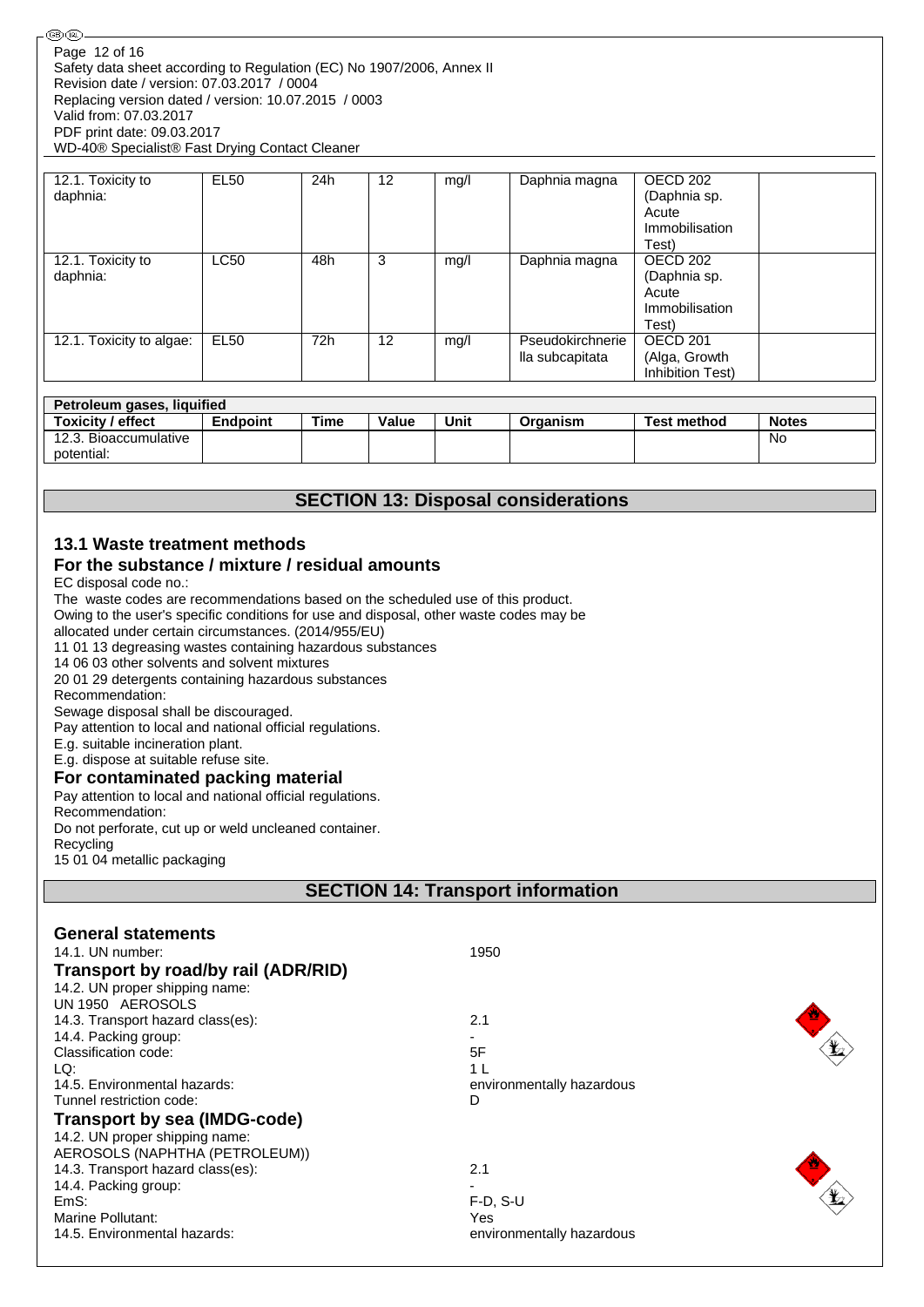| ை (ொ<br>Page 12 of 16                                                                                                                                                                                                                                                                                                                                                                                                                                                                                                                                                                                                                                                                                                                                                                                                                                            |                                                                  |             |       |      |                                     |                                                                         |              |  |
|------------------------------------------------------------------------------------------------------------------------------------------------------------------------------------------------------------------------------------------------------------------------------------------------------------------------------------------------------------------------------------------------------------------------------------------------------------------------------------------------------------------------------------------------------------------------------------------------------------------------------------------------------------------------------------------------------------------------------------------------------------------------------------------------------------------------------------------------------------------|------------------------------------------------------------------|-------------|-------|------|-------------------------------------|-------------------------------------------------------------------------|--------------|--|
| Safety data sheet according to Regulation (EC) No 1907/2006, Annex II<br>Revision date / version: 07.03.2017 / 0004<br>Replacing version dated / version: 10.07.2015 / 0003<br>Valid from: 07.03.2017                                                                                                                                                                                                                                                                                                                                                                                                                                                                                                                                                                                                                                                            |                                                                  |             |       |      |                                     |                                                                         |              |  |
| PDF print date: 09.03.2017<br>WD-40® Specialist® Fast Drying Contact Cleaner                                                                                                                                                                                                                                                                                                                                                                                                                                                                                                                                                                                                                                                                                                                                                                                     |                                                                  |             |       |      |                                     |                                                                         |              |  |
|                                                                                                                                                                                                                                                                                                                                                                                                                                                                                                                                                                                                                                                                                                                                                                                                                                                                  | <b>EL50</b>                                                      | 24h         | 12    |      |                                     | OECD <sub>202</sub>                                                     |              |  |
| 12.1. Toxicity to<br>daphnia:                                                                                                                                                                                                                                                                                                                                                                                                                                                                                                                                                                                                                                                                                                                                                                                                                                    |                                                                  |             |       | mq/l | Daphnia magna                       | (Daphnia sp.<br>Acute<br>Immobilisation<br>Test)                        |              |  |
| 12.1. Toxicity to<br>daphnia:                                                                                                                                                                                                                                                                                                                                                                                                                                                                                                                                                                                                                                                                                                                                                                                                                                    | <b>LC50</b>                                                      | 48h         | 3     | mg/l | Daphnia magna                       | OECD <sub>202</sub><br>(Daphnia sp.<br>Acute<br>Immobilisation<br>Test) |              |  |
| 12.1. Toxicity to algae:                                                                                                                                                                                                                                                                                                                                                                                                                                                                                                                                                                                                                                                                                                                                                                                                                                         | <b>EL50</b>                                                      | 72h         | 12    | mg/l | Pseudokirchnerie<br>lla subcapitata | OECD <sub>201</sub><br>(Alga, Growth<br>Inhibition Test)                |              |  |
| Petroleum gases, liquified                                                                                                                                                                                                                                                                                                                                                                                                                                                                                                                                                                                                                                                                                                                                                                                                                                       |                                                                  |             |       |      |                                     |                                                                         |              |  |
| <b>Toxicity / effect</b>                                                                                                                                                                                                                                                                                                                                                                                                                                                                                                                                                                                                                                                                                                                                                                                                                                         | <b>Endpoint</b>                                                  | <b>Time</b> | Value | Unit | Organism                            | <b>Test method</b>                                                      | <b>Notes</b> |  |
| 12.3. Bioaccumulative<br>potential:                                                                                                                                                                                                                                                                                                                                                                                                                                                                                                                                                                                                                                                                                                                                                                                                                              |                                                                  |             |       |      |                                     |                                                                         | No           |  |
| EC disposal code no.:<br>The waste codes are recommendations based on the scheduled use of this product.<br>Owing to the user's specific conditions for use and disposal, other waste codes may be<br>allocated under certain circumstances. (2014/955/EU)<br>11 01 13 degreasing wastes containing hazardous substances<br>14 06 03 other solvents and solvent mixtures<br>20 01 29 detergents containing hazardous substances<br>Recommendation:<br>Sewage disposal shall be discouraged.<br>Pay attention to local and national official regulations.<br>E.g. suitable incineration plant.<br>E.g. dispose at suitable refuse site.<br>For contaminated packing material<br>Pay attention to local and national official regulations.<br>Recommendation:<br>Do not perforate, cut up or weld uncleaned container.<br>Recycling<br>15 01 04 metallic packaging |                                                                  |             |       |      |                                     |                                                                         |              |  |
| <b>SECTION 14: Transport information</b>                                                                                                                                                                                                                                                                                                                                                                                                                                                                                                                                                                                                                                                                                                                                                                                                                         |                                                                  |             |       |      |                                     |                                                                         |              |  |
| <b>General statements</b>                                                                                                                                                                                                                                                                                                                                                                                                                                                                                                                                                                                                                                                                                                                                                                                                                                        |                                                                  |             |       |      |                                     |                                                                         |              |  |
| 14.1. UN number:<br>1950                                                                                                                                                                                                                                                                                                                                                                                                                                                                                                                                                                                                                                                                                                                                                                                                                                         |                                                                  |             |       |      |                                     |                                                                         |              |  |
| Transport by road/by rail (ADR/RID)<br>14.2. UN proper shipping name:<br>UN 1950 AEROSOLS                                                                                                                                                                                                                                                                                                                                                                                                                                                                                                                                                                                                                                                                                                                                                                        |                                                                  |             |       |      |                                     |                                                                         |              |  |
| 14.3. Transport hazard class(es):<br>2.1<br>14.4. Packing group:<br>5F<br>Classification code:                                                                                                                                                                                                                                                                                                                                                                                                                                                                                                                                                                                                                                                                                                                                                                   |                                                                  |             |       |      |                                     |                                                                         |              |  |
| LQ:                                                                                                                                                                                                                                                                                                                                                                                                                                                                                                                                                                                                                                                                                                                                                                                                                                                              | 1 L<br>14.5. Environmental hazards:<br>environmentally hazardous |             |       |      |                                     |                                                                         |              |  |
| Tunnel restriction code:                                                                                                                                                                                                                                                                                                                                                                                                                                                                                                                                                                                                                                                                                                                                                                                                                                         | D<br>Trancnart by can (IMDC anda)                                |             |       |      |                                     |                                                                         |              |  |

# **Transport by sea (IMDG-code)**

14.2. UN proper shipping name: AEROSOLS (NAPHTHA (PETROLEUM)) 14.3. Transport hazard class(es):  $\frac{1}{2}$  2.1 14.4. Packing group:<br>EmS: Marine Pollutant:<br>14.5. Environmental hazards:

F-D, S-U<br>Yes environmentally hazardous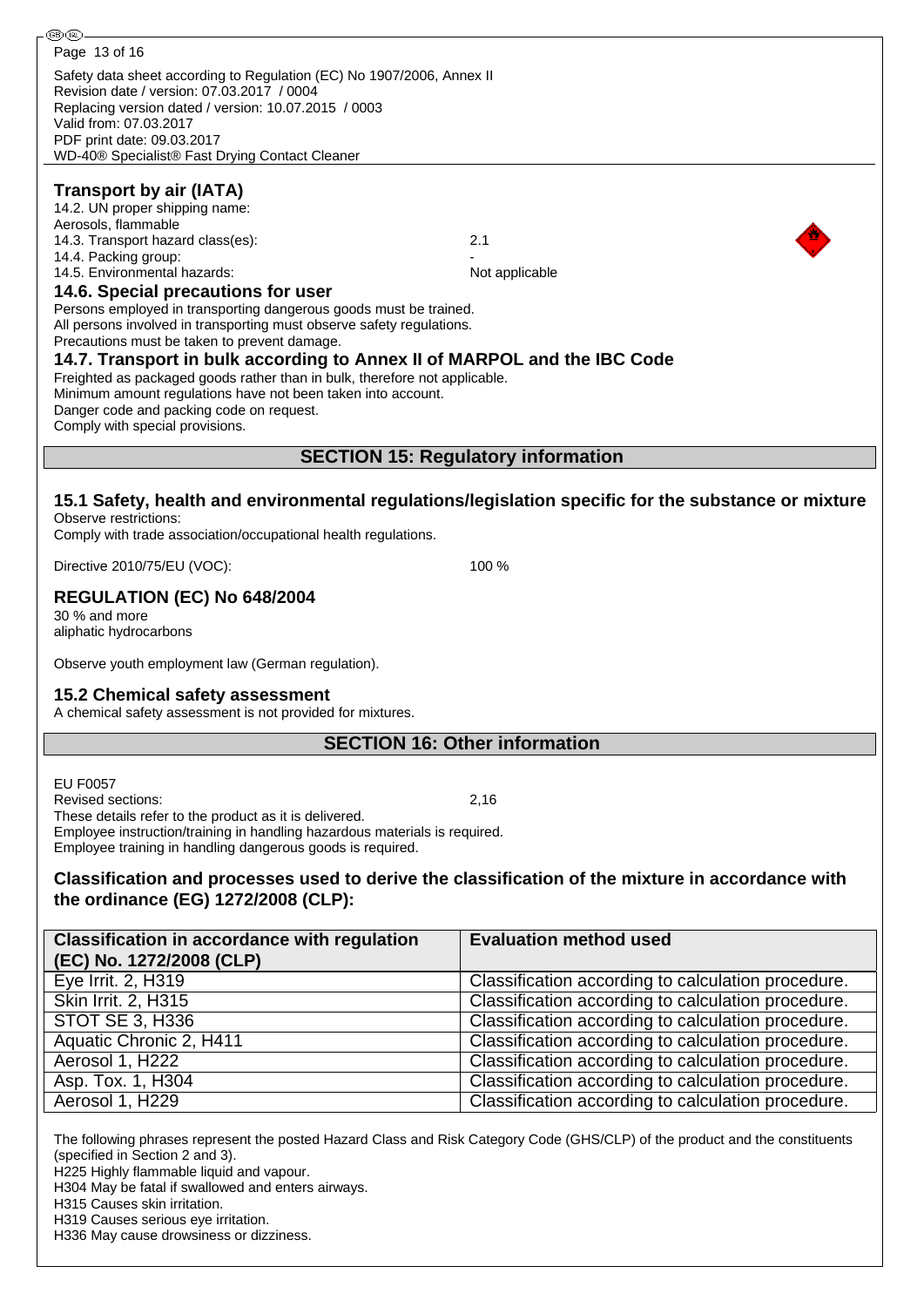| . ® (ொ                                                                                                                                                                                                                                                            |                                                    |  |  |  |  |  |  |
|-------------------------------------------------------------------------------------------------------------------------------------------------------------------------------------------------------------------------------------------------------------------|----------------------------------------------------|--|--|--|--|--|--|
| Page 13 of 16                                                                                                                                                                                                                                                     |                                                    |  |  |  |  |  |  |
| Safety data sheet according to Regulation (EC) No 1907/2006, Annex II<br>Revision date / version: 07.03.2017 / 0004<br>Replacing version dated / version: 10.07.2015 / 0003<br>Valid from: 07.03.2017<br>PDF print date: 09.03.2017                               |                                                    |  |  |  |  |  |  |
| WD-40® Specialist® Fast Drying Contact Cleaner                                                                                                                                                                                                                    |                                                    |  |  |  |  |  |  |
| <b>Transport by air (IATA)</b><br>14.2. UN proper shipping name:<br>Aerosols, flammable<br>14.3. Transport hazard class(es):                                                                                                                                      | 2.1                                                |  |  |  |  |  |  |
| 14.4. Packing group:                                                                                                                                                                                                                                              |                                                    |  |  |  |  |  |  |
| 14.5. Environmental hazards:                                                                                                                                                                                                                                      | Not applicable                                     |  |  |  |  |  |  |
| 14.6. Special precautions for user                                                                                                                                                                                                                                |                                                    |  |  |  |  |  |  |
| Persons employed in transporting dangerous goods must be trained.<br>All persons involved in transporting must observe safety regulations.<br>Precautions must be taken to prevent damage.                                                                        |                                                    |  |  |  |  |  |  |
| 14.7. Transport in bulk according to Annex II of MARPOL and the IBC Code<br>Freighted as packaged goods rather than in bulk, therefore not applicable.                                                                                                            |                                                    |  |  |  |  |  |  |
| Minimum amount regulations have not been taken into account.<br>Danger code and packing code on request.<br>Comply with special provisions.                                                                                                                       |                                                    |  |  |  |  |  |  |
|                                                                                                                                                                                                                                                                   | <b>SECTION 15: Regulatory information</b>          |  |  |  |  |  |  |
|                                                                                                                                                                                                                                                                   |                                                    |  |  |  |  |  |  |
| 15.1 Safety, health and environmental regulations/legislation specific for the substance or mixture<br>Observe restrictions:<br>Comply with trade association/occupational health regulations.                                                                    |                                                    |  |  |  |  |  |  |
| 100 %<br>Directive 2010/75/EU (VOC):                                                                                                                                                                                                                              |                                                    |  |  |  |  |  |  |
| <b>REGULATION (EC) No 648/2004</b><br>30 % and more<br>aliphatic hydrocarbons                                                                                                                                                                                     |                                                    |  |  |  |  |  |  |
| Observe youth employment law (German regulation).                                                                                                                                                                                                                 |                                                    |  |  |  |  |  |  |
| 15.2 Chemical safety assessment<br>A chemical safety assessment is not provided for mixtures.                                                                                                                                                                     |                                                    |  |  |  |  |  |  |
| <b>SECTION 16: Other information</b>                                                                                                                                                                                                                              |                                                    |  |  |  |  |  |  |
|                                                                                                                                                                                                                                                                   |                                                    |  |  |  |  |  |  |
| <b>EU F0057</b>                                                                                                                                                                                                                                                   |                                                    |  |  |  |  |  |  |
| Revised sections:                                                                                                                                                                                                                                                 | 2,16                                               |  |  |  |  |  |  |
| These details refer to the product as it is delivered.                                                                                                                                                                                                            |                                                    |  |  |  |  |  |  |
| Employee instruction/training in handling hazardous materials is required.<br>Employee training in handling dangerous goods is required.                                                                                                                          |                                                    |  |  |  |  |  |  |
| Classification and processes used to derive the classification of the mixture in accordance with                                                                                                                                                                  |                                                    |  |  |  |  |  |  |
| the ordinance (EG) 1272/2008 (CLP):                                                                                                                                                                                                                               |                                                    |  |  |  |  |  |  |
| <b>Classification in accordance with regulation</b>                                                                                                                                                                                                               | <b>Evaluation method used</b>                      |  |  |  |  |  |  |
| (EC) No. 1272/2008 (CLP)                                                                                                                                                                                                                                          |                                                    |  |  |  |  |  |  |
| Eye Irrit. 2, H319                                                                                                                                                                                                                                                | Classification according to calculation procedure. |  |  |  |  |  |  |
| Skin Irrit. 2, H315                                                                                                                                                                                                                                               | Classification according to calculation procedure. |  |  |  |  |  |  |
| <b>STOT SE 3, H336</b>                                                                                                                                                                                                                                            | Classification according to calculation procedure. |  |  |  |  |  |  |
| Aquatic Chronic 2, H411                                                                                                                                                                                                                                           | Classification according to calculation procedure. |  |  |  |  |  |  |
| Aerosol 1, H222                                                                                                                                                                                                                                                   | Classification according to calculation procedure. |  |  |  |  |  |  |
| Asp. Tox. 1, H304                                                                                                                                                                                                                                                 | Classification according to calculation procedure. |  |  |  |  |  |  |
| Aerosol 1, H229                                                                                                                                                                                                                                                   | Classification according to calculation procedure. |  |  |  |  |  |  |
|                                                                                                                                                                                                                                                                   |                                                    |  |  |  |  |  |  |
| The following phrases represent the posted Hazard Class and Risk Category Code (GHS/CLP) of the product and the constituents<br>(specified in Section 2 and 3).<br>H225 Highly flammable liquid and vapour.<br>H304 May be fatal if swallowed and enters airways. |                                                    |  |  |  |  |  |  |

H315 Causes skin irritation.

H319 Causes serious eye irritation.

H336 May cause drowsiness or dizziness.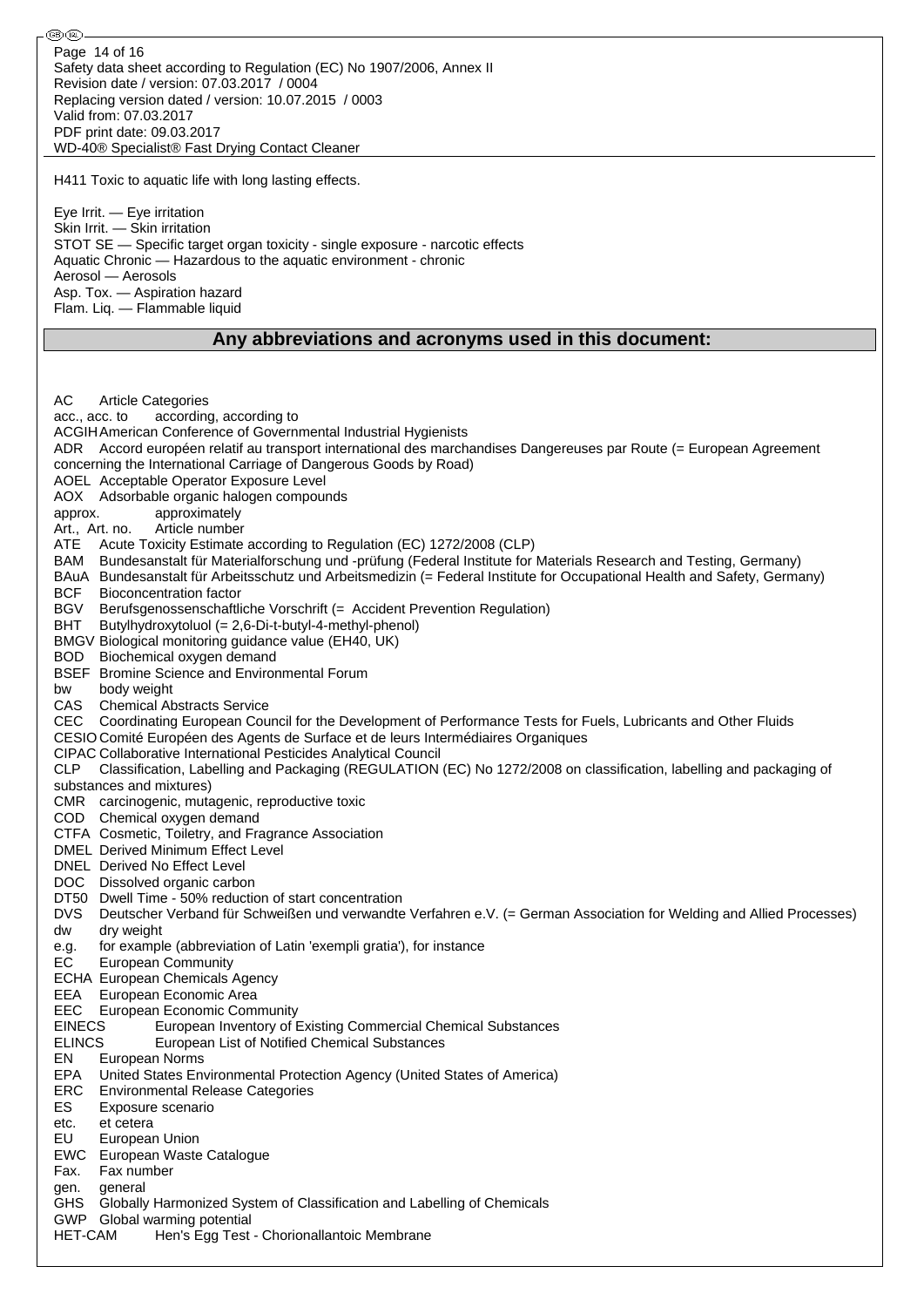⊛® Page 14 of 16Safety data sheet according to Regulation (EC) No 1907/2006, Annex II Revision date / version: 07.03.2017 / 0004 Replacing version dated / version: 10.07.2015 / 0003 Valid from: 07.03.2017 PDF print date: 09.03.2017 WD-40® Specialist® Fast Drying Contact Cleaner H411 Toxic to aquatic life with long lasting effects. Eye Irrit. — Eye irritation Skin Irrit. — Skin irritation STOT SE — Specific target organ toxicity - single exposure - narcotic effects Aquatic Chronic — Hazardous to the aquatic environment - chronic Aerosol — Aerosols Asp. Tox. — Aspiration hazard Flam. Liq. — Flammable liquid **Any abbreviations and acronyms used in this document:** AC Article Categories acc., acc. to according, according to ACGIHAmerican Conference of Governmental Industrial Hygienists ADR Accord européen relatif au transport international des marchandises Dangereuses par Route (= European Agreement concerning the International Carriage of Dangerous Goods by Road) AOEL Acceptable Operator Exposure Level AOX Adsorbable organic halogen compounds approx. approximately Art., Art. no. Article number ATE Acute Toxicity Estimate according to Regulation (EC) 1272/2008 (CLP) BAM Bundesanstalt für Materialforschung und -prüfung (Federal Institute for Materials Research and Testing, Germany) BAuA Bundesanstalt für Arbeitsschutz und Arbeitsmedizin (= Federal Institute for Occupational Health and Safety, Germany) BCF Bioconcentration factor BGV Berufsgenossenschaftliche Vorschrift (= Accident Prevention Regulation) BHT Butylhydroxytoluol (= 2,6-Di-t-butyl-4-methyl-phenol) BMGV Biological monitoring guidance value (EH40, UK) BOD Biochemical oxygen demand BSEF Bromine Science and Environmental Forum bw body weight CAS Chemical Abstracts Service CEC Coordinating European Council for the Development of Performance Tests for Fuels, Lubricants and Other Fluids CESIO Comité Européen des Agents de Surface et de leurs Intermédiaires Organiques CIPAC Collaborative International Pesticides Analytical Council CLP Classification, Labelling and Packaging (REGULATION (EC) No 1272/2008 on classification, labelling and packaging of substances and mixtures) CMR carcinogenic, mutagenic, reproductive toxic COD Chemical oxygen demand CTFA Cosmetic, Toiletry, and Fragrance Association DMEL Derived Minimum Effect Level DNEL Derived No Effect Level DOC Dissolved organic carbon DT50 Dwell Time - 50% reduction of start concentration DVS Deutscher Verband für Schweißen und verwandte Verfahren e.V. (= German Association for Welding and Allied Processes) dw dry weight e.g. for example (abbreviation of Latin 'exempli gratia'), for instance EC European Community ECHA European Chemicals Agency EEA European Economic Area EEC European Economic Community EINECS European Inventory of Existing Commercial Chemical Substances ELINCS European List of Notified Chemical Substances EN European Norms EPA United States Environmental Protection Agency (United States of America) ERC Environmental Release Categories ES Exposure scenario etc. et cetera EU European Union EWC European Waste Catalogue Fax. Fax number gen. general GHS Globally Harmonized System of Classification and Labelling of Chemicals GWP Global warming potential HET-CAM Hen's Egg Test - Chorionallantoic Membrane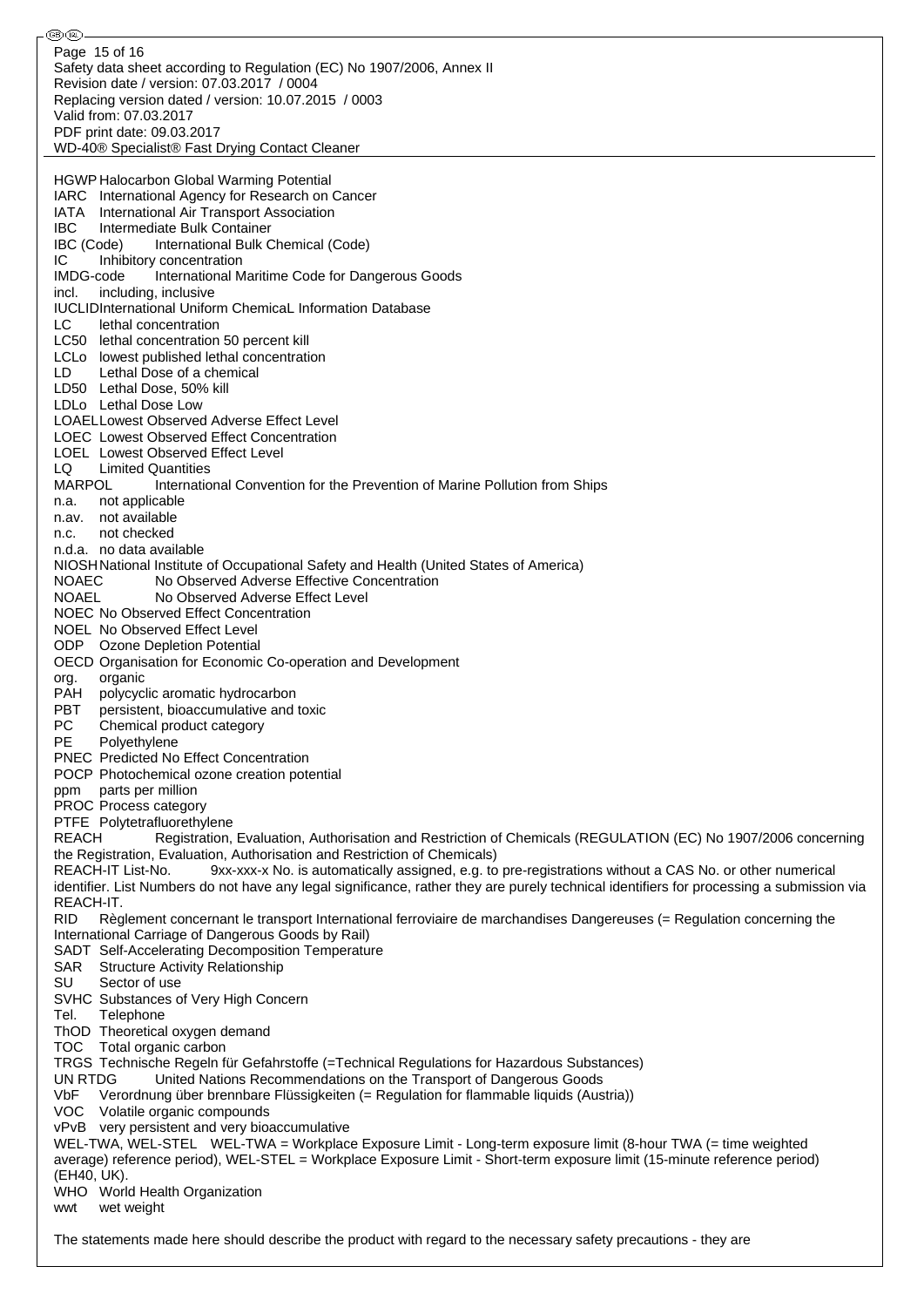⊛® Page 15 of 16Safety data sheet according to Regulation (EC) No 1907/2006, Annex II Revision date / version: 07.03.2017 / 0004 Replacing version dated / version: 10.07.2015 / 0003 Valid from: 07.03.2017 PDF print date: 09.03.2017 WD-40® Specialist® Fast Drying Contact Cleaner HGWP Halocarbon Global Warming Potential IARC International Agency for Research on Cancer IATA International Air Transport Association IBC Intermediate Bulk Container IBC (Code) International Bulk Chemical (Code) IC Inhibitory concentration IMDG-code International Maritime Code for Dangerous Goods incl. including, inclusive IUCLIDInternational Uniform ChemicaL Information Database LC lethal concentration LC50 lethal concentration 50 percent kill LCLo lowest published lethal concentration LD Lethal Dose of a chemical LD50 Lethal Dose, 50% kill LDLo Lethal Dose Low LOAELLowest Observed Adverse Effect Level LOEC Lowest Observed Effect Concentration LOEL Lowest Observed Effect Level LQ Limited Quantities<br>MARPOL Internatio International Convention for the Prevention of Marine Pollution from Ships n.a. not applicable n.av. not available n.c. not checked n.d.a. no data available NIOSHNational Institute of Occupational Safety and Health (United States of America) NOAEC No Observed Adverse Effective Concentration NOAEL No Observed Adverse Effect Level NOEC No Observed Effect Concentration NOEL No Observed Effect Level ODP Ozone Depletion Potential OECD Organisation for Economic Co-operation and Development org. organic PAH polycyclic aromatic hydrocarbon PBT persistent, bioaccumulative and toxic<br>PC Chemical product category PC Chemical product category<br>PF Polvethvlene Polyethylene PNEC Predicted No Effect Concentration POCP Photochemical ozone creation potential ppm parts per million PROC Process category PTFE Polytetrafluorethylene REACH Registration, Evaluation, Authorisation and Restriction of Chemicals (REGULATION (EC) No 1907/2006 concerning the Registration, Evaluation, Authorisation and Restriction of Chemicals) REACH-IT List-No. 9xx-xxx-x No. is automatically assigned, e.g. to pre-registrations without a CAS No. or other numerical identifier. List Numbers do not have any legal significance, rather they are purely technical identifiers for processing a submission via REACH-IT. RID Règlement concernant le transport International ferroviaire de marchandises Dangereuses (= Regulation concerning the International Carriage of Dangerous Goods by Rail) SADT Self-Accelerating Decomposition Temperature SAR Structure Activity Relationship SU Sector of use SVHC Substances of Very High Concern Tel. Telephone ThOD Theoretical oxygen demand TOC Total organic carbon TRGS Technische Regeln für Gefahrstoffe (=Technical Regulations for Hazardous Substances) UN RTDG United Nations Recommendations on the Transport of Dangerous Goods VbF Verordnung über brennbare Flüssigkeiten (= Regulation for flammable liquids (Austria)) VOC Volatile organic compounds vPvB very persistent and very bioaccumulative WEL-TWA, WEL-STEL WEL-TWA = Workplace Exposure Limit - Long-term exposure limit (8-hour TWA (= time weighted average) reference period), WEL-STEL = Workplace Exposure Limit - Short-term exposure limit (15-minute reference period) (EH40, UK). WHO World Health Organization wwt wet weight

The statements made here should describe the product with regard to the necessary safety precautions - they are